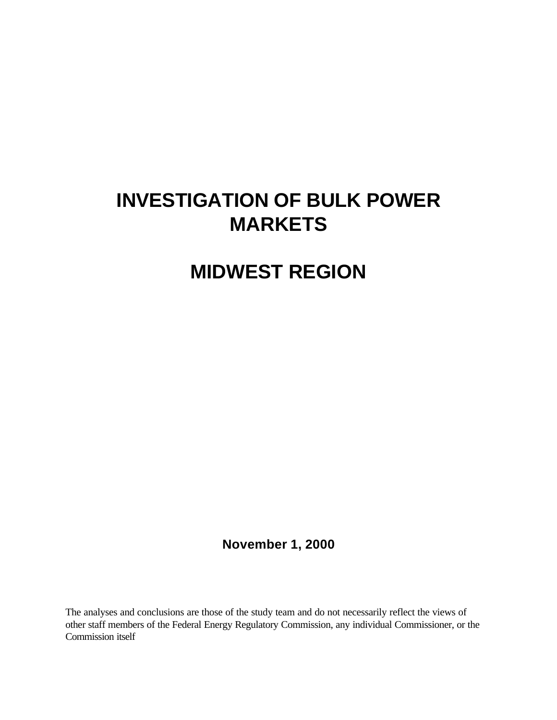# **INVESTIGATION OF BULK POWER MARKETS**

# **MIDWEST REGION**

**November 1, 2000**

The analyses and conclusions are those of the study team and do not necessarily reflect the views of other staff members of the Federal Energy Regulatory Commission, any individual Commissioner, or the Commission itself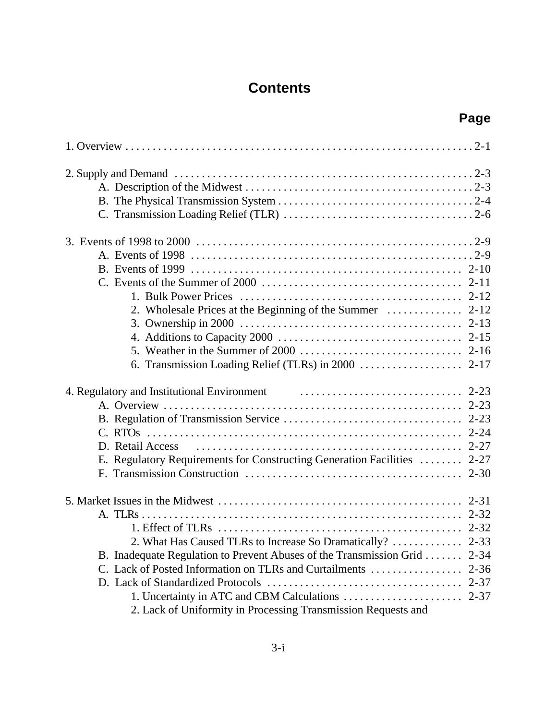# **Contents**

# **Page**

| 4. Regulatory and Institutional Environment extensional contract to the 2-23 |          |
|------------------------------------------------------------------------------|----------|
|                                                                              |          |
|                                                                              |          |
|                                                                              |          |
| D. Retail Access                                                             |          |
| E. Regulatory Requirements for Constructing Generation Facilities  2-27      |          |
|                                                                              |          |
|                                                                              |          |
|                                                                              |          |
|                                                                              |          |
|                                                                              |          |
| 2. What Has Caused TLRs to Increase So Dramatically?  2-33                   |          |
| B. Inadequate Regulation to Prevent Abuses of the Transmission Grid          | $2 - 34$ |
| C. Lack of Posted Information on TLRs and Curtailments                       | $2 - 36$ |
|                                                                              | $2 - 37$ |
|                                                                              | $2 - 37$ |
| 2. Lack of Uniformity in Processing Transmission Requests and                |          |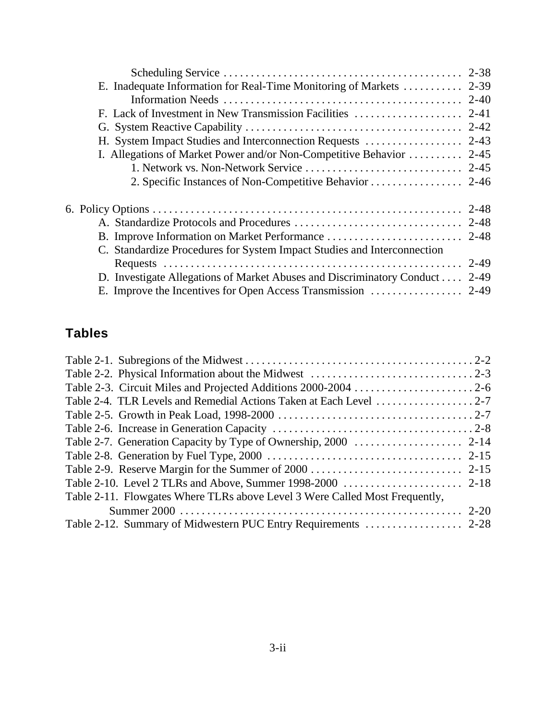| E. Inadequate Information for Real-Time Monitoring of Markets  2-39     |          |
|-------------------------------------------------------------------------|----------|
|                                                                         |          |
|                                                                         |          |
|                                                                         |          |
|                                                                         |          |
| I. Allegations of Market Power and/or Non-Competitive Behavior  2-45    |          |
|                                                                         |          |
|                                                                         |          |
|                                                                         |          |
|                                                                         |          |
|                                                                         |          |
| C. Standardize Procedures for System Impact Studies and Interconnection |          |
|                                                                         | $2 - 49$ |
| D. Investigate Allegations of Market Abuses and Discriminatory Conduct  | $2 - 49$ |
|                                                                         |          |

# **Tables**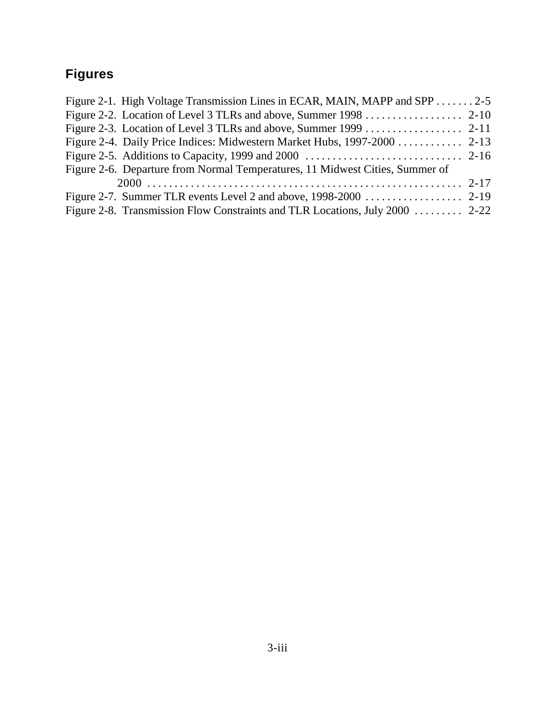# **Figures**

| Figure 2-1. High Voltage Transmission Lines in ECAR, MAIN, MAPP and SPP  2-5 |  |
|------------------------------------------------------------------------------|--|
| Figure 2-2. Location of Level 3 TLRs and above, Summer 1998 2-10             |  |
|                                                                              |  |
| Figure 2-4. Daily Price Indices: Midwestern Market Hubs, 1997-2000 2-13      |  |
|                                                                              |  |
| Figure 2-6. Departure from Normal Temperatures, 11 Midwest Cities, Summer of |  |
|                                                                              |  |
|                                                                              |  |
| Figure 2-8. Transmission Flow Constraints and TLR Locations, July 2000  2-22 |  |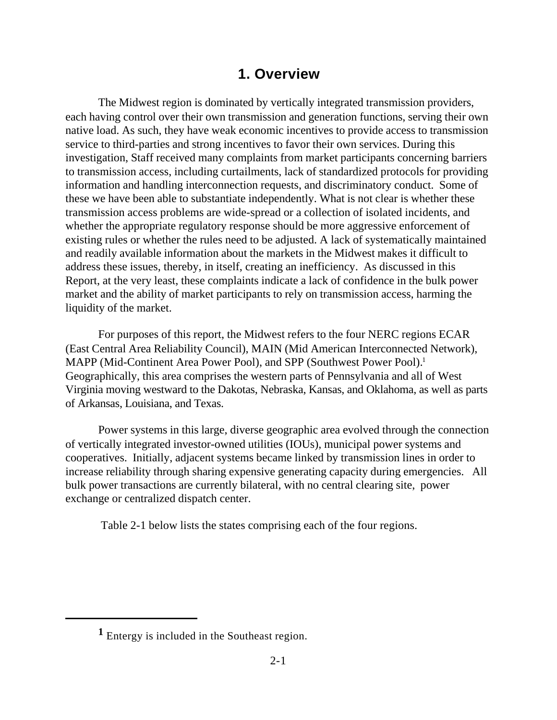## **1. Overview**

The Midwest region is dominated by vertically integrated transmission providers, each having control over their own transmission and generation functions, serving their own native load. As such, they have weak economic incentives to provide access to transmission service to third-parties and strong incentives to favor their own services. During this investigation, Staff received many complaints from market participants concerning barriers to transmission access, including curtailments, lack of standardized protocols for providing information and handling interconnection requests, and discriminatory conduct. Some of these we have been able to substantiate independently. What is not clear is whether these transmission access problems are wide-spread or a collection of isolated incidents, and whether the appropriate regulatory response should be more aggressive enforcement of existing rules or whether the rules need to be adjusted. A lack of systematically maintained and readily available information about the markets in the Midwest makes it difficult to address these issues, thereby, in itself, creating an inefficiency. As discussed in this Report, at the very least, these complaints indicate a lack of confidence in the bulk power market and the ability of market participants to rely on transmission access, harming the liquidity of the market.

For purposes of this report, the Midwest refers to the four NERC regions ECAR (East Central Area Reliability Council), MAIN (Mid American Interconnected Network), MAPP (Mid-Continent Area Power Pool), and SPP (Southwest Power Pool).<sup>1</sup> Geographically, this area comprises the western parts of Pennsylvania and all of West Virginia moving westward to the Dakotas, Nebraska, Kansas, and Oklahoma, as well as parts of Arkansas, Louisiana, and Texas.

Power systems in this large, diverse geographic area evolved through the connection of vertically integrated investor-owned utilities (IOUs), municipal power systems and cooperatives. Initially, adjacent systems became linked by transmission lines in order to increase reliability through sharing expensive generating capacity during emergencies. All bulk power transactions are currently bilateral, with no central clearing site, power exchange or centralized dispatch center.

Table 2-1 below lists the states comprising each of the four regions.

**<sup>1</sup>** Entergy is included in the Southeast region.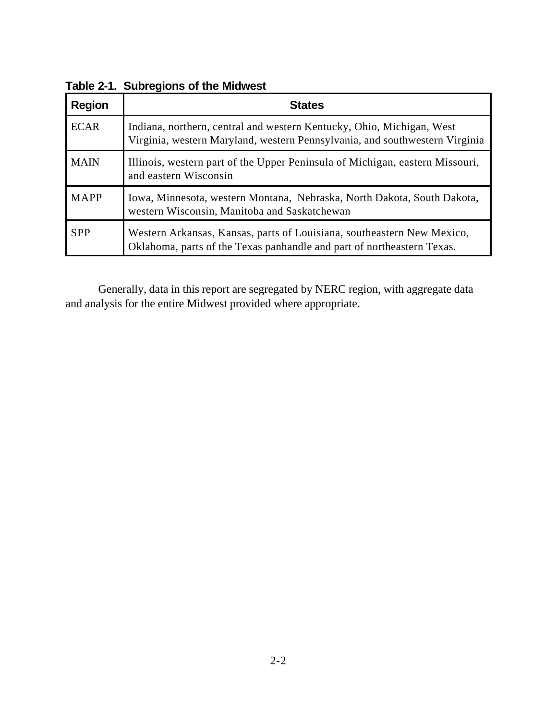| <b>Region</b> | <b>States</b>                                                                                                                                        |
|---------------|------------------------------------------------------------------------------------------------------------------------------------------------------|
| <b>ECAR</b>   | Indiana, northern, central and western Kentucky, Ohio, Michigan, West<br>Virginia, western Maryland, western Pennsylvania, and southwestern Virginia |
| <b>MAIN</b>   | Illinois, western part of the Upper Peninsula of Michigan, eastern Missouri,<br>and eastern Wisconsin                                                |
| <b>MAPP</b>   | Iowa, Minnesota, western Montana, Nebraska, North Dakota, South Dakota,<br>western Wisconsin, Manitoba and Saskatchewan                              |
| <b>SPP</b>    | Western Arkansas, Kansas, parts of Louisiana, southeastern New Mexico,<br>Oklahoma, parts of the Texas panhandle and part of northeastern Texas.     |

**Table 2-1. Subregions of the Midwest**

Generally, data in this report are segregated by NERC region, with aggregate data and analysis for the entire Midwest provided where appropriate.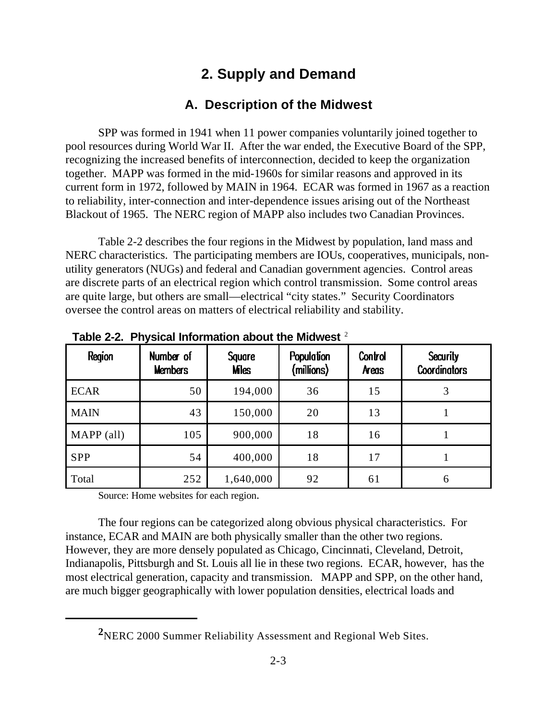# **2. Supply and Demand**

# **A. Description of the Midwest**

SPP was formed in 1941 when 11 power companies voluntarily joined together to pool resources during World War II. After the war ended, the Executive Board of the SPP, recognizing the increased benefits of interconnection, decided to keep the organization together. MAPP was formed in the mid-1960s for similar reasons and approved in its current form in 1972, followed by MAIN in 1964. ECAR was formed in 1967 as a reaction to reliability, inter-connection and inter-dependence issues arising out of the Northeast Blackout of 1965. The NERC region of MAPP also includes two Canadian Provinces.

Table 2-2 describes the four regions in the Midwest by population, land mass and NERC characteristics. The participating members are IOUs, cooperatives, municipals, nonutility generators (NUGs) and federal and Canadian government agencies. Control areas are discrete parts of an electrical region which control transmission. Some control areas are quite large, but others are small—electrical "city states." Security Coordinators oversee the control areas on matters of electrical reliability and stability.

| Region      | Number of<br><b>Members</b> | <b>Square</b><br><b>Mes</b> | <b>Population</b><br>(millions) | Control<br>Areas | <b>Security</b><br><b>Coordinators</b> |
|-------------|-----------------------------|-----------------------------|---------------------------------|------------------|----------------------------------------|
| <b>ECAR</b> | 50                          | 194,000                     | 36                              | 15               |                                        |
| <b>MAIN</b> | 43                          | 150,000                     | 20                              | 13               |                                        |
| MAPP (all)  | 105                         | 900,000                     | 18                              | 16               |                                        |
| <b>SPP</b>  | 54                          | 400,000                     | 18                              | 17               |                                        |
| Total       | 252                         | 1,640,000                   | 92                              | 61               | 6                                      |

**Table 2-2. Physical Information about the Midwest** <sup>2</sup>

Source: Home websites for each region.

The four regions can be categorized along obvious physical characteristics. For instance, ECAR and MAIN are both physically smaller than the other two regions. However, they are more densely populated as Chicago, Cincinnati, Cleveland, Detroit, Indianapolis, Pittsburgh and St. Louis all lie in these two regions. ECAR, however, has the most electrical generation, capacity and transmission. MAPP and SPP, on the other hand, are much bigger geographically with lower population densities, electrical loads and

**<sup>2</sup>**NERC 2000 Summer Reliability Assessment and Regional Web Sites.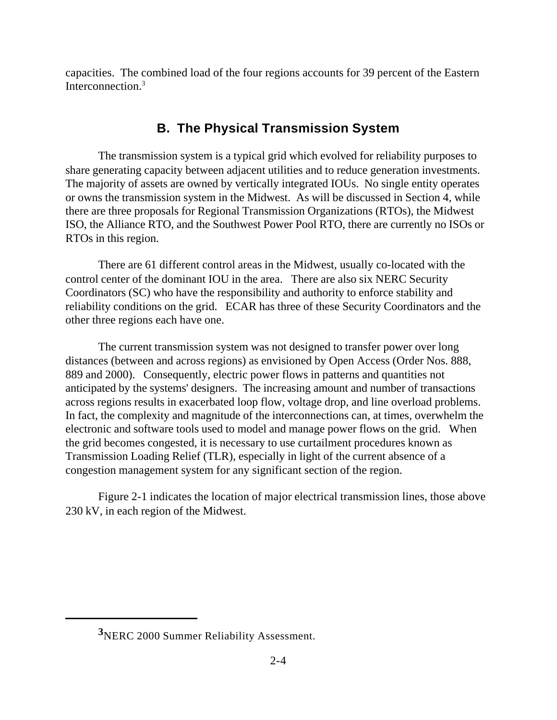capacities. The combined load of the four regions accounts for 39 percent of the Eastern Interconnection.<sup>3</sup>

# **B. The Physical Transmission System**

The transmission system is a typical grid which evolved for reliability purposes to share generating capacity between adjacent utilities and to reduce generation investments. The majority of assets are owned by vertically integrated IOUs. No single entity operates or owns the transmission system in the Midwest. As will be discussed in Section 4, while there are three proposals for Regional Transmission Organizations (RTOs), the Midwest ISO, the Alliance RTO, and the Southwest Power Pool RTO, there are currently no ISOs or RTOs in this region.

There are 61 different control areas in the Midwest, usually co-located with the control center of the dominant IOU in the area. There are also six NERC Security Coordinators (SC) who have the responsibility and authority to enforce stability and reliability conditions on the grid. ECAR has three of these Security Coordinators and the other three regions each have one.

The current transmission system was not designed to transfer power over long distances (between and across regions) as envisioned by Open Access (Order Nos. 888, 889 and 2000). Consequently, electric power flows in patterns and quantities not anticipated by the systems' designers. The increasing amount and number of transactions across regions results in exacerbated loop flow, voltage drop, and line overload problems. In fact, the complexity and magnitude of the interconnections can, at times, overwhelm the electronic and software tools used to model and manage power flows on the grid. When the grid becomes congested, it is necessary to use curtailment procedures known as Transmission Loading Relief (TLR), especially in light of the current absence of a congestion management system for any significant section of the region.

Figure 2-1 indicates the location of major electrical transmission lines, those above 230 kV, in each region of the Midwest.

**<sup>3</sup>**NERC 2000 Summer Reliability Assessment.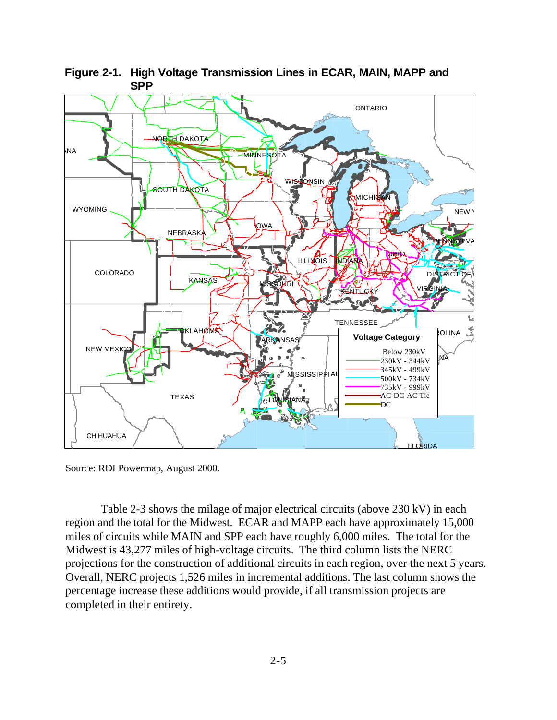

**Figure 2-1. High Voltage Transmission Lines in ECAR, MAIN, MAPP and SPP**

Source: RDI Powermap, August 2000.

 Table 2-3 shows the milage of major electrical circuits (above 230 kV) in each region and the total for the Midwest. ECAR and MAPP each have approximately 15,000 miles of circuits while MAIN and SPP each have roughly 6,000 miles. The total for the Midwest is 43,277 miles of high-voltage circuits. The third column lists the NERC projections for the construction of additional circuits in each region, over the next 5 years. Overall, NERC projects 1,526 miles in incremental additions. The last column shows the percentage increase these additions would provide, if all transmission projects are completed in their entirety.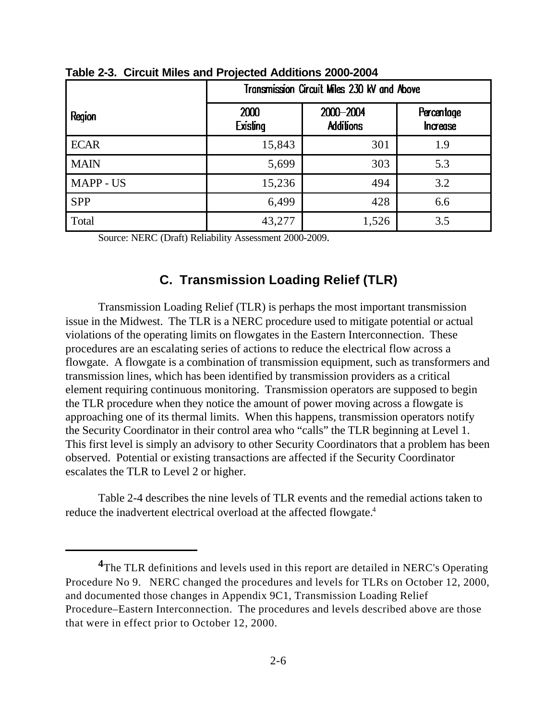|             | Transmission Circuit Miles 230 kV and Above |                               |                               |  |  |
|-------------|---------------------------------------------|-------------------------------|-------------------------------|--|--|
| Region      | 2000<br><b>Existing</b>                     | 2000-2004<br><b>Additions</b> | Percentage<br><b>Increase</b> |  |  |
| <b>ECAR</b> | 15,843                                      | 301                           | 1.9                           |  |  |
| <b>MAIN</b> | 5,699                                       | 303                           | 5.3                           |  |  |
| MAPP - US   | 15,236                                      | 494                           | 3.2                           |  |  |
| <b>SPP</b>  | 6,499                                       | 428                           | 6.6                           |  |  |
| Total       | 43,277                                      | 1,526                         | 3.5                           |  |  |

**Table 2-3. Circuit Miles and Projected Additions 2000-2004**

Source: NERC (Draft) Reliability Assessment 2000-2009.

### **C. Transmission Loading Relief (TLR)**

Transmission Loading Relief (TLR) is perhaps the most important transmission issue in the Midwest. The TLR is a NERC procedure used to mitigate potential or actual violations of the operating limits on flowgates in the Eastern Interconnection. These procedures are an escalating series of actions to reduce the electrical flow across a flowgate. A flowgate is a combination of transmission equipment, such as transformers and transmission lines, which has been identified by transmission providers as a critical element requiring continuous monitoring. Transmission operators are supposed to begin the TLR procedure when they notice the amount of power moving across a flowgate is approaching one of its thermal limits. When this happens, transmission operators notify the Security Coordinator in their control area who "calls" the TLR beginning at Level 1. This first level is simply an advisory to other Security Coordinators that a problem has been observed. Potential or existing transactions are affected if the Security Coordinator escalates the TLR to Level 2 or higher.

Table 2-4 describes the nine levels of TLR events and the remedial actions taken to reduce the inadvertent electrical overload at the affected flowgate.<sup>4</sup>

**<sup>4</sup>**The TLR definitions and levels used in this report are detailed in NERC's Operating Procedure No 9. NERC changed the procedures and levels for TLRs on October 12, 2000, and documented those changes in Appendix 9C1, Transmission Loading Relief Procedure–Eastern Interconnection. The procedures and levels described above are those that were in effect prior to October 12, 2000.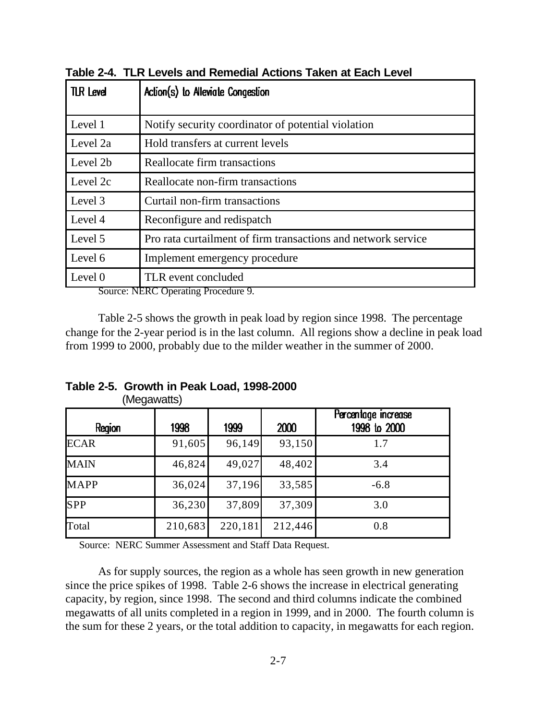| <b>TLR Level</b> | Action(s) to Alleviate Congestion                             |  |  |  |  |
|------------------|---------------------------------------------------------------|--|--|--|--|
|                  |                                                               |  |  |  |  |
| Level 1          | Notify security coordinator of potential violation            |  |  |  |  |
| Level 2a         | Hold transfers at current levels                              |  |  |  |  |
| Level 2b         | Reallocate firm transactions                                  |  |  |  |  |
| Level 2c         | Reallocate non-firm transactions                              |  |  |  |  |
| Level 3          | Curtail non-firm transactions                                 |  |  |  |  |
| Level 4          | Reconfigure and redispatch                                    |  |  |  |  |
| Level 5          | Pro rata curtailment of firm transactions and network service |  |  |  |  |
| Level 6          | Implement emergency procedure                                 |  |  |  |  |
| Level 0<br>n     | TLR event concluded<br>$\overline{\phantom{a}}$               |  |  |  |  |

**Table 2-4. TLR Levels and Remedial Actions Taken at Each Level** 

Source: NERC Operating Procedure 9.

Table 2-5 shows the growth in peak load by region since 1998. The percentage change for the 2-year period is in the last column. All regions show a decline in peak load from 1999 to 2000, probably due to the milder weather in the summer of 2000.

| Region      | 1998    | 1999    | 2000    | Percentage increase<br>1998 to 2000 |
|-------------|---------|---------|---------|-------------------------------------|
| <b>ECAR</b> | 91,605  | 96,149  | 93,150  | 1.7                                 |
| <b>MAIN</b> | 46,824  | 49,027  | 48,402  | 3.4                                 |
| <b>MAPP</b> | 36,024  | 37,196  | 33,585  | $-6.8$                              |
| SPP         | 36,230  | 37,809  | 37,309  | 3.0                                 |
| Total       | 210,683 | 220,181 | 212,446 | 0.8                                 |

**Table 2-5. Growth in Peak Load, 1998-2000** (Megawatts)

Source: NERC Summer Assessment and Staff Data Request.

As for supply sources, the region as a whole has seen growth in new generation since the price spikes of 1998. Table 2-6 shows the increase in electrical generating capacity, by region, since 1998. The second and third columns indicate the combined megawatts of all units completed in a region in 1999, and in 2000. The fourth column is the sum for these 2 years, or the total addition to capacity, in megawatts for each region.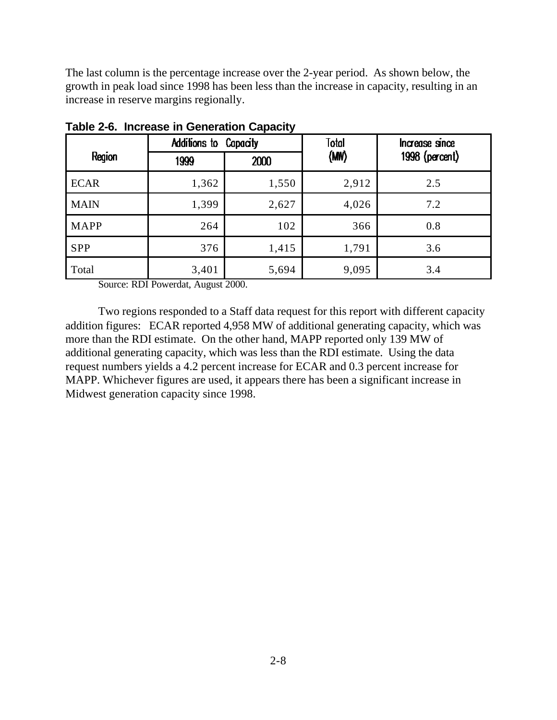The last column is the percentage increase over the 2-year period. As shown below, the growth in peak load since 1998 has been less than the increase in capacity, resulting in an increase in reserve margins regionally.

|             | Additions to Capacity |       | Total<br>Increase since |                |
|-------------|-----------------------|-------|-------------------------|----------------|
| Region      | 1999                  | 2000  | (MW)                    | 1998 (percent) |
| <b>ECAR</b> | 1,362                 | 1,550 | 2,912                   | 2.5            |
| <b>MAIN</b> | 1,399                 | 2,627 | 4,026                   | 7.2            |
| <b>MAPP</b> | 264                   | 102   | 366                     | 0.8            |
| <b>SPP</b>  | 376                   | 1,415 | 1,791                   | 3.6            |
| Total       | 3,401                 | 5,694 | 9,095                   | 3.4            |

**Table 2-6. Increase in Generation Capacity**

Source: RDI Powerdat, August 2000.

Two regions responded to a Staff data request for this report with different capacity addition figures: ECAR reported 4,958 MW of additional generating capacity, which was more than the RDI estimate. On the other hand, MAPP reported only 139 MW of additional generating capacity, which was less than the RDI estimate. Using the data request numbers yields a 4.2 percent increase for ECAR and 0.3 percent increase for MAPP. Whichever figures are used, it appears there has been a significant increase in Midwest generation capacity since 1998.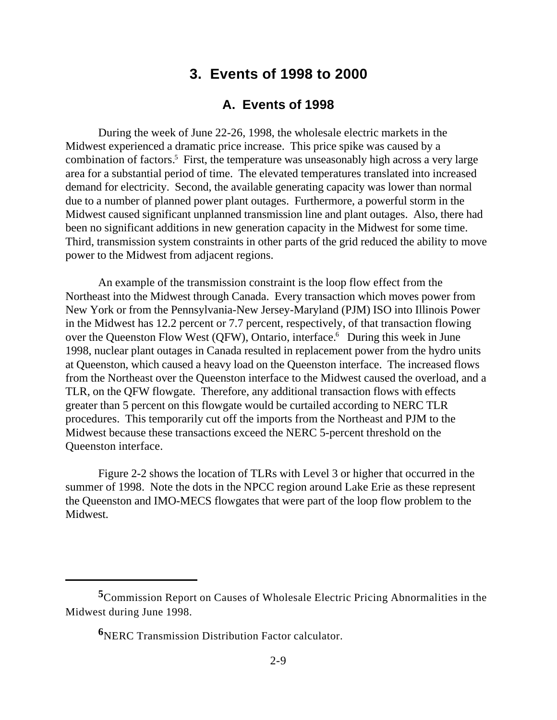## **3. Events of 1998 to 2000**

#### **A. Events of 1998**

During the week of June 22-26, 1998, the wholesale electric markets in the Midwest experienced a dramatic price increase. This price spike was caused by a combination of factors.<sup>5</sup> First, the temperature was unseasonably high across a very large area for a substantial period of time. The elevated temperatures translated into increased demand for electricity. Second, the available generating capacity was lower than normal due to a number of planned power plant outages. Furthermore, a powerful storm in the Midwest caused significant unplanned transmission line and plant outages. Also, there had been no significant additions in new generation capacity in the Midwest for some time. Third, transmission system constraints in other parts of the grid reduced the ability to move power to the Midwest from adjacent regions.

An example of the transmission constraint is the loop flow effect from the Northeast into the Midwest through Canada. Every transaction which moves power from New York or from the Pennsylvania-New Jersey-Maryland (PJM) ISO into Illinois Power in the Midwest has 12.2 percent or 7.7 percent, respectively, of that transaction flowing over the Queenston Flow West (QFW), Ontario, interface.<sup>6</sup> During this week in June 1998, nuclear plant outages in Canada resulted in replacement power from the hydro units at Queenston, which caused a heavy load on the Queenston interface. The increased flows from the Northeast over the Queenston interface to the Midwest caused the overload, and a TLR, on the QFW flowgate. Therefore, any additional transaction flows with effects greater than 5 percent on this flowgate would be curtailed according to NERC TLR procedures. This temporarily cut off the imports from the Northeast and PJM to the Midwest because these transactions exceed the NERC 5-percent threshold on the Queenston interface.

Figure 2-2 shows the location of TLRs with Level 3 or higher that occurred in the summer of 1998. Note the dots in the NPCC region around Lake Erie as these represent the Queenston and IMO-MECS flowgates that were part of the loop flow problem to the Midwest.

**<sup>5</sup>**Commission Report on Causes of Wholesale Electric Pricing Abnormalities in the Midwest during June 1998.

**<sup>6</sup>**NERC Transmission Distribution Factor calculator.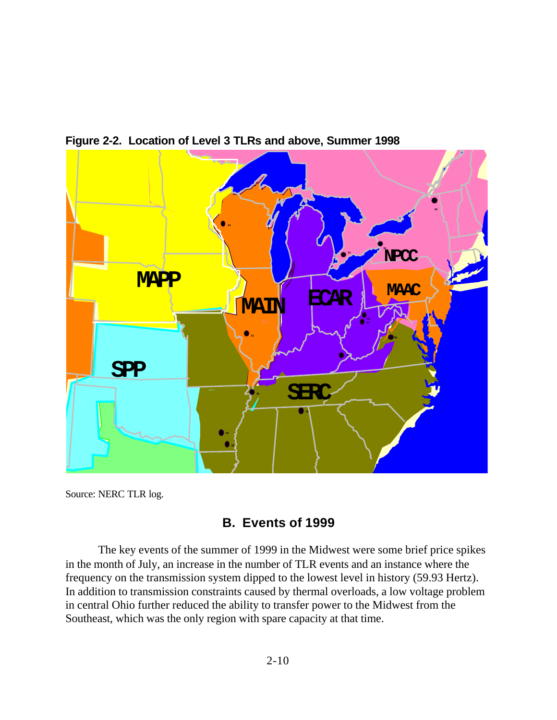

**Figure 2-2. Location of Level 3 TLRs and above, Summer 1998**

Source: NERC TLR log.

## **B. Events of 1999**

The key events of the summer of 1999 in the Midwest were some brief price spikes in the month of July, an increase in the number of TLR events and an instance where the frequency on the transmission system dipped to the lowest level in history (59.93 Hertz). In addition to transmission constraints caused by thermal overloads, a low voltage problem in central Ohio further reduced the ability to transfer power to the Midwest from the Southeast, which was the only region with spare capacity at that time.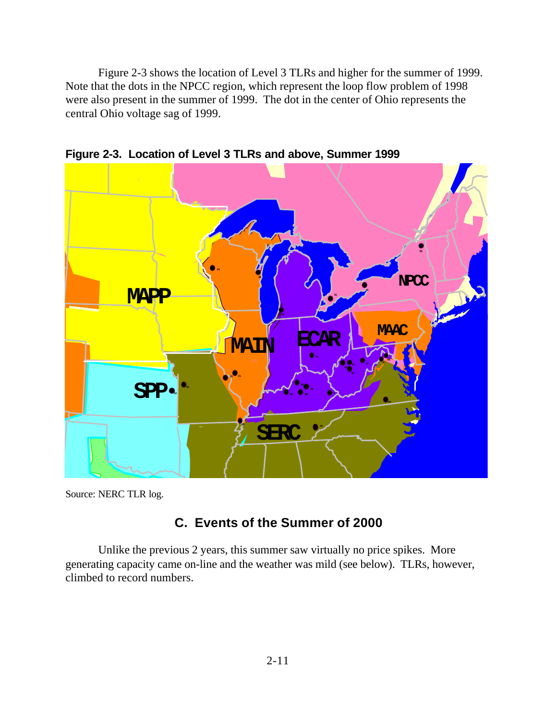Figure 2-3 shows the location of Level 3 TLRs and higher for the summer of 1999. Note that the dots in the NPCC region, which represent the loop flow problem of 1998 were also present in the summer of 1999. The dot in the center of Ohio represents the central Ohio voltage sag of 1999.



**Figure 2-3. Location of Level 3 TLRs and above, Summer 1999**

Source: NERC TLR log.

## **C. Events of the Summer of 2000**

Unlike the previous 2 years, this summer saw virtually no price spikes. More generating capacity came on-line and the weather was mild (see below). TLRs, however, climbed to record numbers.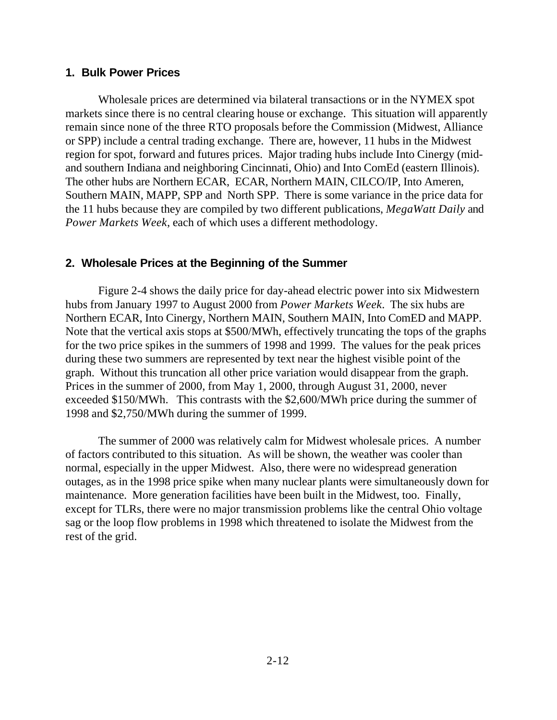#### **1. Bulk Power Prices**

Wholesale prices are determined via bilateral transactions or in the NYMEX spot markets since there is no central clearing house or exchange. This situation will apparently remain since none of the three RTO proposals before the Commission (Midwest, Alliance or SPP) include a central trading exchange. There are, however, 11 hubs in the Midwest region for spot, forward and futures prices. Major trading hubs include Into Cinergy (midand southern Indiana and neighboring Cincinnati, Ohio) and Into ComEd (eastern Illinois). The other hubs are Northern ECAR, ECAR, Northern MAIN, CILCO/IP, Into Ameren, Southern MAIN, MAPP, SPP and North SPP. There is some variance in the price data for the 11 hubs because they are compiled by two different publications, *MegaWatt Daily* and *Power Markets Week*, each of which uses a different methodology.

#### **2. Wholesale Prices at the Beginning of the Summer**

Figure 2-4 shows the daily price for day-ahead electric power into six Midwestern hubs from January 1997 to August 2000 from *Power Markets Week*. The six hubs are Northern ECAR, Into Cinergy, Northern MAIN, Southern MAIN, Into ComED and MAPP. Note that the vertical axis stops at \$500/MWh, effectively truncating the tops of the graphs for the two price spikes in the summers of 1998 and 1999. The values for the peak prices during these two summers are represented by text near the highest visible point of the graph. Without this truncation all other price variation would disappear from the graph. Prices in the summer of 2000, from May 1, 2000, through August 31, 2000, never exceeded \$150/MWh. This contrasts with the \$2,600/MWh price during the summer of 1998 and \$2,750/MWh during the summer of 1999.

The summer of 2000 was relatively calm for Midwest wholesale prices. A number of factors contributed to this situation. As will be shown, the weather was cooler than normal, especially in the upper Midwest. Also, there were no widespread generation outages, as in the 1998 price spike when many nuclear plants were simultaneously down for maintenance. More generation facilities have been built in the Midwest, too. Finally, except for TLRs, there were no major transmission problems like the central Ohio voltage sag or the loop flow problems in 1998 which threatened to isolate the Midwest from the rest of the grid.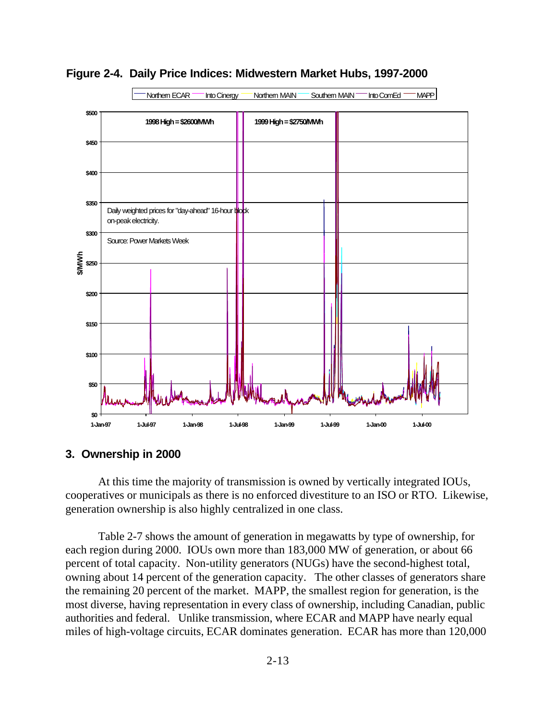

**Figure 2-4. Daily Price Indices: Midwestern Market Hubs, 1997-2000**

#### **3. Ownership in 2000**

At this time the majority of transmission is owned by vertically integrated IOUs, cooperatives or municipals as there is no enforced divestiture to an ISO or RTO. Likewise, generation ownership is also highly centralized in one class.

Table 2-7 shows the amount of generation in megawatts by type of ownership, for each region during 2000. IOUs own more than 183,000 MW of generation, or about 66 percent of total capacity. Non-utility generators (NUGs) have the second-highest total, owning about 14 percent of the generation capacity. The other classes of generators share the remaining 20 percent of the market. MAPP, the smallest region for generation, is the most diverse, having representation in every class of ownership, including Canadian, public authorities and federal. Unlike transmission, where ECAR and MAPP have nearly equal miles of high-voltage circuits, ECAR dominates generation. ECAR has more than 120,000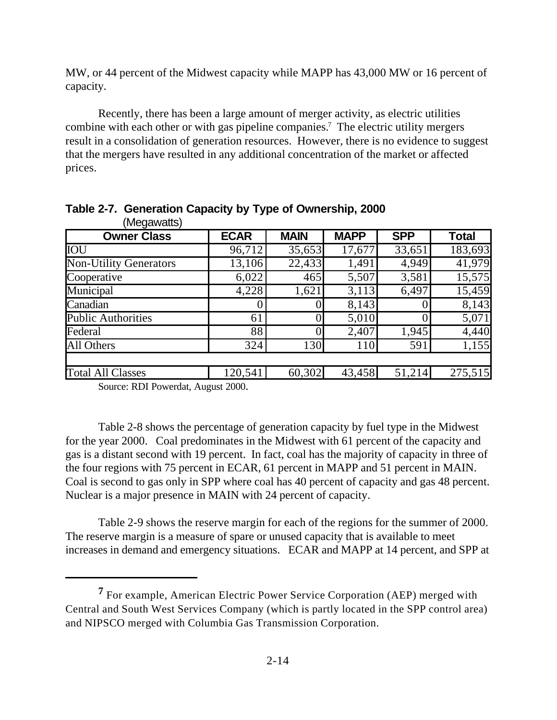MW, or 44 percent of the Midwest capacity while MAPP has 43,000 MW or 16 percent of capacity.

Recently, there has been a large amount of merger activity, as electric utilities combine with each other or with gas pipeline companies.<sup>7</sup> The electric utility mergers result in a consolidation of generation resources. However, there is no evidence to suggest that the mergers have resulted in any additional concentration of the market or affected prices.

| (Megawatts)                   |             | <b>MAIN</b> | <b>MAPP</b> | <b>SPP</b> |              |
|-------------------------------|-------------|-------------|-------------|------------|--------------|
| <b>Owner Class</b>            | <b>ECAR</b> |             |             |            | <b>Total</b> |
| IOU                           | 96,712      | 35,653      | 17,677      | 33,651     | 183,693      |
| <b>Non-Utility Generators</b> | 13,106      | 22,433      | 1,491       | 4,949      | 41,979       |
| Cooperative                   | 6,022       | 465         | 5,507       | 3,581      | 15,575       |
| Municipal                     | 4,228       | 1,621       | 3,113       | 6,497      | 15,459       |
| Canadian                      |             |             | 8,143       |            | 8,143        |
| <b>Public Authorities</b>     | 61          |             | 5,010       |            | 5,071        |
| Federal                       | 88          |             | 2,407       | 1,945      | 4,440        |
| All Others                    | 324         | 130         | 110         | 591        | 1,155        |
|                               |             |             |             |            |              |
| <b>Total All Classes</b>      | 120,541     | 60,302      | 43,458      | 51,214     | 275,515      |

**Table 2-7. Generation Capacity by Type of Ownership, 2000**  $(Megayian)$ 

Source: RDI Powerdat, August 2000.

Table 2-8 shows the percentage of generation capacity by fuel type in the Midwest for the year 2000. Coal predominates in the Midwest with 61 percent of the capacity and gas is a distant second with 19 percent. In fact, coal has the majority of capacity in three of the four regions with 75 percent in ECAR, 61 percent in MAPP and 51 percent in MAIN. Coal is second to gas only in SPP where coal has 40 percent of capacity and gas 48 percent. Nuclear is a major presence in MAIN with 24 percent of capacity.

Table 2-9 shows the reserve margin for each of the regions for the summer of 2000. The reserve margin is a measure of spare or unused capacity that is available to meet increases in demand and emergency situations. ECAR and MAPP at 14 percent, and SPP at

**<sup>7</sup>** For example, American Electric Power Service Corporation (AEP) merged with Central and South West Services Company (which is partly located in the SPP control area) and NIPSCO merged with Columbia Gas Transmission Corporation.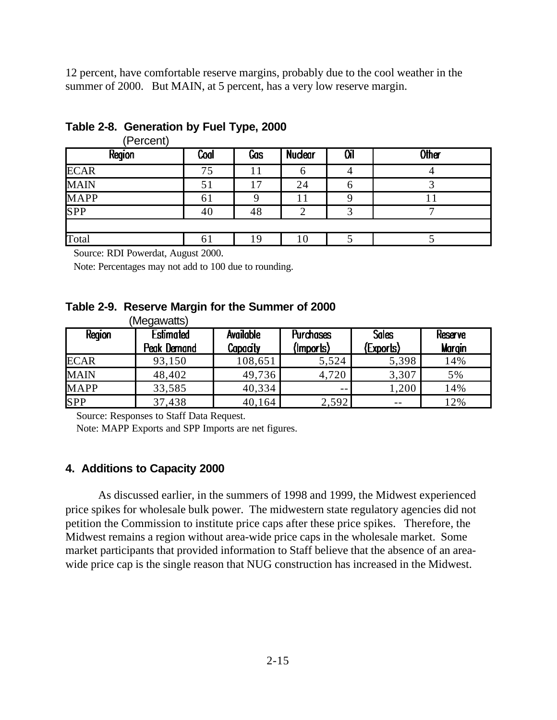12 percent, have comfortable reserve margins, probably due to the cool weather in the summer of 2000. But MAIN, at 5 percent, has a very low reserve margin.

| (Percent)   |      |     |                |    |       |
|-------------|------|-----|----------------|----|-------|
| Region      | Coal | Gas | <b>Nuclear</b> | Оī | Other |
| <b>ECAR</b> | 75   |     |                |    |       |
| <b>MAIN</b> | 51   | 7   | 24             |    |       |
| <b>MAPP</b> | 61   |     |                |    |       |
| SPP         | 40   | 48  |                |    |       |
|             |      |     |                |    |       |
| Total       | 61   | 19  | 10             |    |       |

#### **Table 2-8. Generation by Fuel Type, 2000**

Source: RDI Powerdat, August 2000.

Note: Percentages may not add to 100 due to rounding.

#### **Table 2-9. Reserve Margin for the Summer of 2000**  $M_{200}$

| Region      | (Megawatts)<br><b>Estimated</b><br>Peak Demand | Available<br><b>Capacity</b> | <b>Purchases</b><br>(Imports) | <b>Sales</b><br>(Exports) | <b>Reserve</b><br><b>Margin</b> |
|-------------|------------------------------------------------|------------------------------|-------------------------------|---------------------------|---------------------------------|
| <b>ECAR</b> | 93,150                                         | 108,651                      | 5,524                         | 5,398                     | 14%                             |
| <b>MAIN</b> | 48,402                                         | 49,736                       | 4,720                         | 3,307                     | 5%                              |
| <b>MAPP</b> | 33,585                                         | 40,334                       | $- -$                         | 1,200                     | 14%                             |
| <b>SPP</b>  | 37,438                                         | 40,164                       | 2,592                         | $- -$                     | 12%                             |

Source: Responses to Staff Data Request.

Note: MAPP Exports and SPP Imports are net figures.

#### **4. Additions to Capacity 2000**

As discussed earlier, in the summers of 1998 and 1999, the Midwest experienced price spikes for wholesale bulk power. The midwestern state regulatory agencies did not petition the Commission to institute price caps after these price spikes. Therefore, the Midwest remains a region without area-wide price caps in the wholesale market. Some market participants that provided information to Staff believe that the absence of an areawide price cap is the single reason that NUG construction has increased in the Midwest.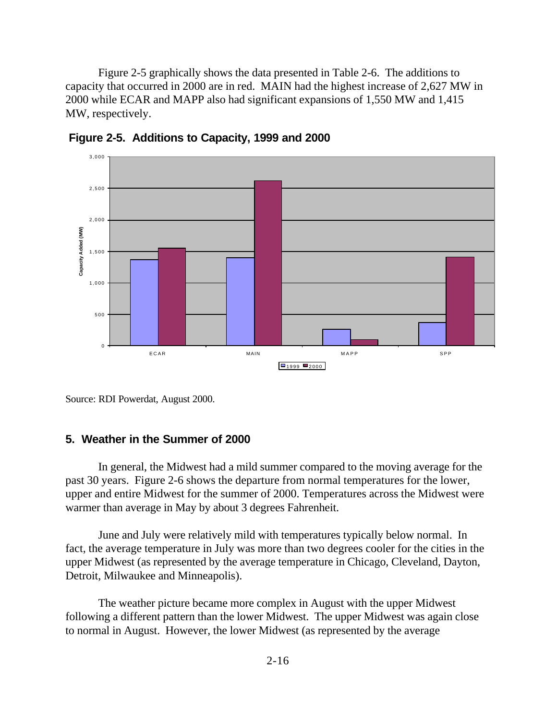Figure 2-5 graphically shows the data presented in Table 2-6. The additions to capacity that occurred in 2000 are in red. MAIN had the highest increase of 2,627 MW in 2000 while ECAR and MAPP also had significant expansions of 1,550 MW and 1,415 MW, respectively.



**Figure 2-5. Additions to Capacity, 1999 and 2000**

Source: RDI Powerdat, August 2000.

#### **5. Weather in the Summer of 2000**

In general, the Midwest had a mild summer compared to the moving average for the past 30 years. Figure 2-6 shows the departure from normal temperatures for the lower, upper and entire Midwest for the summer of 2000. Temperatures across the Midwest were warmer than average in May by about 3 degrees Fahrenheit.

June and July were relatively mild with temperatures typically below normal. In fact, the average temperature in July was more than two degrees cooler for the cities in the upper Midwest (as represented by the average temperature in Chicago, Cleveland, Dayton, Detroit, Milwaukee and Minneapolis).

The weather picture became more complex in August with the upper Midwest following a different pattern than the lower Midwest. The upper Midwest was again close to normal in August. However, the lower Midwest (as represented by the average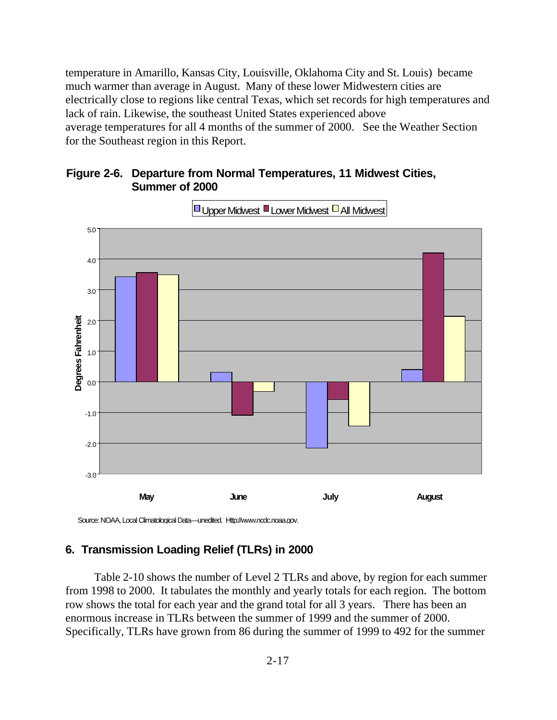temperature in Amarillo, Kansas City, Louisville, Oklahoma City and St. Louis) became much warmer than average in August. Many of these lower Midwestern cities are electrically close to regions like central Texas, which set records for high temperatures and lack of rain. Likewise, the southeast United States experienced above average temperatures for all 4 months of the summer of 2000. See the Weather Section for the Southeast region in this Report.





**Upper Midwest Lower Midwest All Midwest** 

Source: NOAA, Local Climatological Data—unedited. Http://www.ncdc.noaa.gov.

#### **6. Transmission Loading Relief (TLRs) in 2000**

Table 2-10 shows the number of Level 2 TLRs and above, by region for each summer from 1998 to 2000. It tabulates the monthly and yearly totals for each region. The bottom row shows the total for each year and the grand total for all 3 years. There has been an enormous increase in TLRs between the summer of 1999 and the summer of 2000. Specifically, TLRs have grown from 86 during the summer of 1999 to 492 for the summer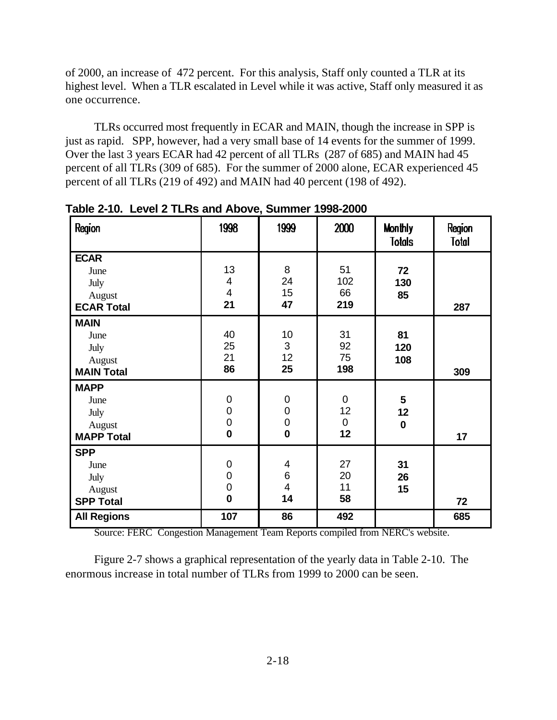of 2000, an increase of 472 percent. For this analysis, Staff only counted a TLR at its highest level. When a TLR escalated in Level while it was active, Staff only measured it as one occurrence.

TLRs occurred most frequently in ECAR and MAIN, though the increase in SPP is just as rapid. SPP, however, had a very small base of 14 events for the summer of 1999. Over the last 3 years ECAR had 42 percent of all TLRs (287 of 685) and MAIN had 45 percent of all TLRs (309 of 685). For the summer of 2000 alone, ECAR experienced 45 percent of all TLRs (219 of 492) and MAIN had 40 percent (198 of 492).

| Region                                                     | 1998                                                             | 1999                                                            | 2000                                   | <b>Monthly</b><br><b>Totals</b>     | Region<br><b>Total</b> |
|------------------------------------------------------------|------------------------------------------------------------------|-----------------------------------------------------------------|----------------------------------------|-------------------------------------|------------------------|
| <b>ECAR</b><br>June<br>July<br>August<br><b>ECAR Total</b> | 13<br>$\overline{\mathbf{4}}$<br>$\overline{\mathbf{4}}$<br>21   | 8<br>24<br>15<br>47                                             | 51<br>102<br>66<br>219                 | 72<br>130<br>85                     | 287                    |
| <b>MAIN</b><br>June<br>July<br>August<br><b>MAIN Total</b> | 40<br>25<br>21<br>86                                             | 10<br>3<br>12<br>25                                             | 31<br>92<br>75<br>198                  | 81<br>120<br>108                    | 309                    |
| <b>MAPP</b><br>June<br>July<br>August<br><b>MAPP Total</b> | $\mathbf 0$<br>$\mathbf 0$<br>$\overline{0}$<br>$\boldsymbol{0}$ | $\pmb{0}$<br>$\begin{matrix} 0 \\ 0 \\ \mathbf{0} \end{matrix}$ | $\mathbf 0$<br>12<br>$\mathbf 0$<br>12 | $5\phantom{1}$<br>12<br>$\mathbf 0$ | 17                     |
| <b>SPP</b><br>June<br>July<br>August<br><b>SPP Total</b>   | $\mathbf 0$<br>$\overline{0}$<br>$\mathbf 0$<br>$\bf{0}$         | 4<br>$\begin{array}{c} 6 \\ 4 \end{array}$<br>14                | 27<br>20<br>11<br>58                   | 31<br>26<br>15                      | 72                     |
| <b>All Regions</b>                                         | 107                                                              | 86                                                              | 492                                    |                                     | 685                    |

**Table 2-10. Level 2 TLRs and Above, Summer 1998-2000**

Source: FERC Congestion Management Team Reports compiled from NERC's website.

Figure 2-7 shows a graphical representation of the yearly data in Table 2-10. The enormous increase in total number of TLRs from 1999 to 2000 can be seen.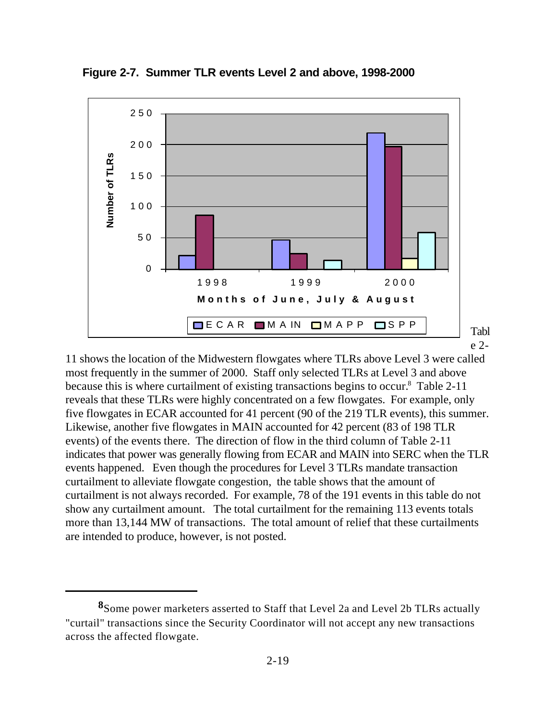

**Figure 2-7. Summer TLR events Level 2 and above, 1998-2000**

11 shows the location of the Midwestern flowgates where TLRs above Level 3 were called most frequently in the summer of 2000. Staff only selected TLRs at Level 3 and above because this is where curtailment of existing transactions begins to occur.<sup>8</sup> Table 2-11 reveals that these TLRs were highly concentrated on a few flowgates. For example, only five flowgates in ECAR accounted for 41 percent (90 of the 219 TLR events), this summer. Likewise, another five flowgates in MAIN accounted for 42 percent (83 of 198 TLR events) of the events there. The direction of flow in the third column of Table 2-11 indicates that power was generally flowing from ECAR and MAIN into SERC when the TLR events happened. Even though the procedures for Level 3 TLRs mandate transaction curtailment to alleviate flowgate congestion, the table shows that the amount of curtailment is not always recorded. For example, 78 of the 191 events in this table do not show any curtailment amount. The total curtailment for the remaining 113 events totals more than 13,144 MW of transactions. The total amount of relief that these curtailments are intended to produce, however, is not posted.

**<sup>8</sup>**Some power marketers asserted to Staff that Level 2a and Level 2b TLRs actually "curtail" transactions since the Security Coordinator will not accept any new transactions across the affected flowgate.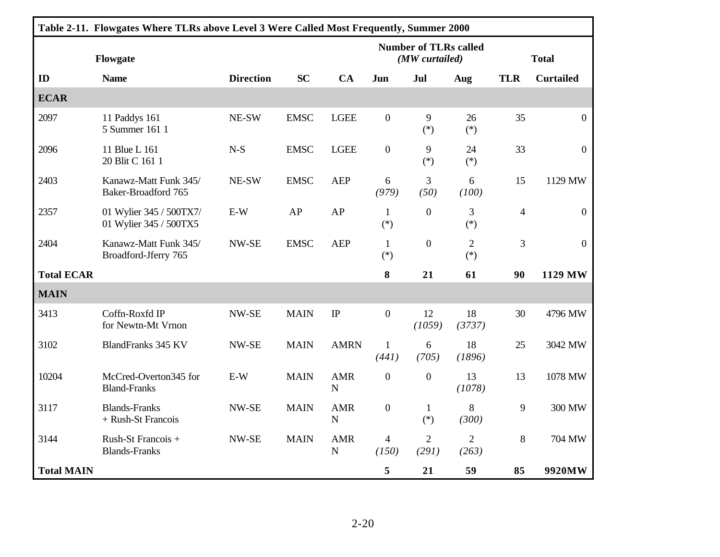| Table 2-11. Flowgates Where TLRs above Level 3 Were Called Most Frequently, Summer 2000 |                                                   |                  |             |                                                |                         |                         |                         |                          |                  |
|-----------------------------------------------------------------------------------------|---------------------------------------------------|------------------|-------------|------------------------------------------------|-------------------------|-------------------------|-------------------------|--------------------------|------------------|
| Flowgate                                                                                |                                                   |                  |             | <b>Number of TLRs called</b><br>(MW curtailed) |                         |                         | <b>Total</b>            |                          |                  |
| ID                                                                                      | <b>Name</b>                                       | <b>Direction</b> | <b>SC</b>   | CA                                             | Jun                     | Jul                     | Aug                     | <b>TLR</b>               | <b>Curtailed</b> |
| <b>ECAR</b>                                                                             |                                                   |                  |             |                                                |                         |                         |                         |                          |                  |
| 2097                                                                                    | 11 Paddys 161<br>5 Summer 161 1                   | NE-SW            | <b>EMSC</b> | <b>LGEE</b>                                    | $\boldsymbol{0}$        | 9<br>$(*)$              | 26<br>$(*)$             | 35                       | $\mathbf{0}$     |
| 2096                                                                                    | 11 Blue L 161<br>20 Blit C 161 1                  | $N-S$            | <b>EMSC</b> | <b>LGEE</b>                                    | $\boldsymbol{0}$        | 9<br>$(*)$              | 24<br>$(*)$             | 33                       | $\overline{0}$   |
| 2403                                                                                    | Kanawz-Matt Funk 345/<br>Baker-Broadford 765      | NE-SW            | <b>EMSC</b> | <b>AEP</b>                                     | 6<br>(979)              | 3<br>(50)               | 6<br>(100)              | 15                       | 1129 MW          |
| 2357                                                                                    | 01 Wylier 345 / 500TX7/<br>01 Wylier 345 / 500TX5 | $E-W$            | AP          | AP                                             | $\mathbf{1}$<br>$(*)$   | $\boldsymbol{0}$        | 3<br>$(*)$              | $\overline{\mathcal{L}}$ | $\boldsymbol{0}$ |
| 2404                                                                                    | Kanawz-Matt Funk 345/<br>Broadford-Jferry 765     | NW-SE            | <b>EMSC</b> | <b>AEP</b>                                     | $\mathbf{1}$<br>$(*)$   | $\boldsymbol{0}$        | $\overline{2}$<br>$(*)$ | 3                        | $\mathbf{0}$     |
| <b>Total ECAR</b>                                                                       |                                                   |                  |             |                                                | 8                       | 21                      | 61                      | 90                       | 1129 MW          |
| <b>MAIN</b>                                                                             |                                                   |                  |             |                                                |                         |                         |                         |                          |                  |
| 3413                                                                                    | Coffn-Roxfd IP<br>for Newtn-Mt Vrnon              | NW-SE            | <b>MAIN</b> | $\rm IP$                                       | $\boldsymbol{0}$        | 12<br>(1059)            | 18<br>(3737)            | 30                       | 4796 MW          |
| 3102                                                                                    | <b>BlandFranks 345 KV</b>                         | NW-SE            | <b>MAIN</b> | <b>AMRN</b>                                    | $\mathbf{1}$<br>(441)   | 6<br>(705)              | 18<br>(1896)            | 25                       | 3042 MW          |
| 10204                                                                                   | McCred-Overton345 for<br><b>Bland-Franks</b>      | $E-W$            | <b>MAIN</b> | <b>AMR</b><br>$\mathbf N$                      | $\boldsymbol{0}$        | $\mathbf{0}$            | 13<br>(1078)            | 13                       | 1078 MW          |
| 3117                                                                                    | <b>Blands-Franks</b><br>+ Rush-St Francois        | NW-SE            | <b>MAIN</b> | <b>AMR</b><br>$\mathbf N$                      | $\boldsymbol{0}$        | $\mathbf{1}$<br>$(*)$   | 8<br>(300)              | 9                        | 300 MW           |
| 3144                                                                                    | Rush-St Francois +<br><b>Blands-Franks</b>        | NW-SE            | <b>MAIN</b> | <b>AMR</b><br>$\mathbf N$                      | $\overline{4}$<br>(150) | $\overline{2}$<br>(291) | $\overline{2}$<br>(263) | 8                        | 704 MW           |
| <b>Total MAIN</b>                                                                       |                                                   |                  |             |                                                | 5                       | 21                      | 59                      | 85                       | 9920MW           |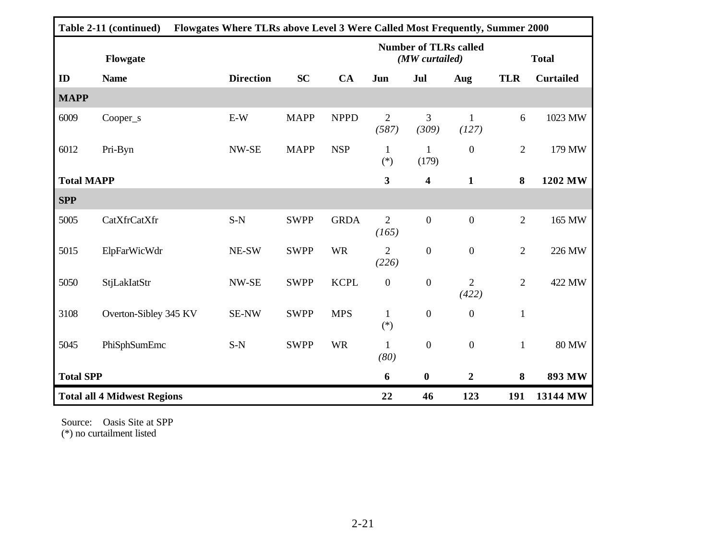| Flowgates Where TLRs above Level 3 Were Called Most Frequently, Summer 2000<br>Table 2-11 (continued) |                       |  |                  |             |             |                                      |                                                |                         |                |                  |
|-------------------------------------------------------------------------------------------------------|-----------------------|--|------------------|-------------|-------------|--------------------------------------|------------------------------------------------|-------------------------|----------------|------------------|
|                                                                                                       | Flowgate              |  |                  |             |             |                                      | <b>Number of TLRs called</b><br>(MW curtailed) |                         |                | <b>Total</b>     |
| ID                                                                                                    | <b>Name</b>           |  | <b>Direction</b> | <b>SC</b>   | CA          | Jun                                  | Jul                                            | Aug                     | <b>TLR</b>     | <b>Curtailed</b> |
| <b>MAPP</b>                                                                                           |                       |  |                  |             |             |                                      |                                                |                         |                |                  |
| 6009                                                                                                  | Cooper_s              |  | E-W              | <b>MAPP</b> | <b>NPPD</b> | $\overline{2}$<br>(587)              | 3<br>(309)                                     | $\mathbf{1}$<br>(127)   | 6              | 1023 MW          |
| 6012                                                                                                  | Pri-Byn               |  | NW-SE            | <b>MAPP</b> | <b>NSP</b>  | $\mathbf{1}$<br>$\left( ^{*}\right)$ | 1<br>(179)                                     | $\mathbf{0}$            | $\overline{2}$ | 179 MW           |
| <b>Total MAPP</b>                                                                                     |                       |  |                  |             |             | 3                                    | $\overline{\mathbf{4}}$                        | $\mathbf{1}$            | 8              | 1202 MW          |
| <b>SPP</b>                                                                                            |                       |  |                  |             |             |                                      |                                                |                         |                |                  |
| 5005                                                                                                  | CatXfrCatXfr          |  | $S-N$            | <b>SWPP</b> | <b>GRDA</b> | $\overline{2}$<br>(165)              | $\overline{0}$                                 | $\overline{0}$          | $\overline{2}$ | 165 MW           |
| 5015                                                                                                  | ElpFarWicWdr          |  | NE-SW            | <b>SWPP</b> | <b>WR</b>   | $\overline{2}$<br>(226)              | $\boldsymbol{0}$                               | $\boldsymbol{0}$        | $\overline{2}$ | 226 MW           |
| 5050                                                                                                  | StjLakIatStr          |  | NW-SE            | <b>SWPP</b> | <b>KCPL</b> | $\boldsymbol{0}$                     | $\boldsymbol{0}$                               | $\overline{2}$<br>(422) | $\overline{2}$ | 422 MW           |
| 3108                                                                                                  | Overton-Sibley 345 KV |  | SE-NW            | <b>SWPP</b> | <b>MPS</b>  | $\mathbf{1}$<br>$\left( ^{*}\right)$ | $\boldsymbol{0}$                               | $\mathbf{0}$            | $\mathbf{1}$   |                  |
| 5045                                                                                                  | PhiSphSumEmc          |  | $S-N$            | <b>SWPP</b> | <b>WR</b>   | $\mathbf{1}$<br>(80)                 | $\boldsymbol{0}$                               | $\mathbf{0}$            | $\mathbf{1}$   | <b>80 MW</b>     |
|                                                                                                       | <b>Total SPP</b>      |  |                  |             |             | 6                                    | $\boldsymbol{0}$                               | $\overline{2}$          | 8              | 893 MW           |
| <b>Total all 4 Midwest Regions</b>                                                                    |                       |  |                  | 22          | 46          | 123                                  | 191                                            | 13144 MW                |                |                  |

Source: Oasis Site at SPP (\*) no curtailment listed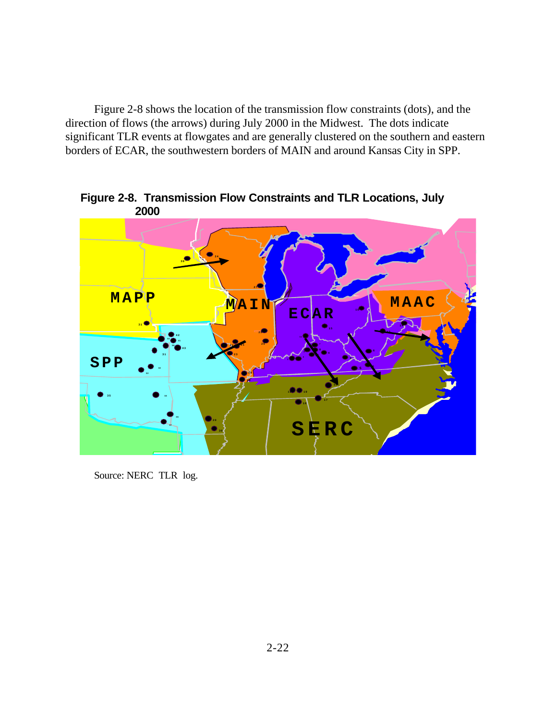Figure 2-8 shows the location of the transmission flow constraints (dots), and the direction of flows (the arrows) during July 2000 in the Midwest. The dots indicate significant TLR events at flowgates and are generally clustered on the southern and eastern borders of ECAR, the southwestern borders of MAIN and around Kansas City in SPP.



**Figure 2-8. Transmission Flow Constraints and TLR Locations, July 2000**

Source: NERC TLR log.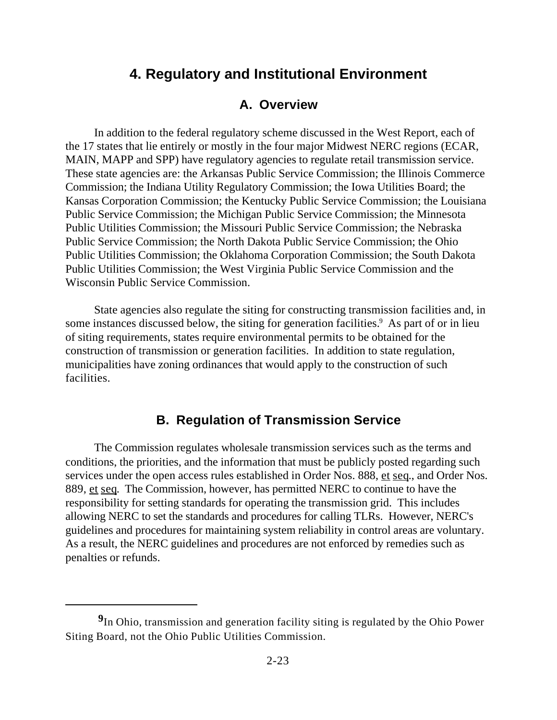## **4. Regulatory and Institutional Environment**

#### **A. Overview**

In addition to the federal regulatory scheme discussed in the West Report, each of the 17 states that lie entirely or mostly in the four major Midwest NERC regions (ECAR, MAIN, MAPP and SPP) have regulatory agencies to regulate retail transmission service. These state agencies are: the Arkansas Public Service Commission; the Illinois Commerce Commission; the Indiana Utility Regulatory Commission; the Iowa Utilities Board; the Kansas Corporation Commission; the Kentucky Public Service Commission; the Louisiana Public Service Commission; the Michigan Public Service Commission; the Minnesota Public Utilities Commission; the Missouri Public Service Commission; the Nebraska Public Service Commission; the North Dakota Public Service Commission; the Ohio Public Utilities Commission; the Oklahoma Corporation Commission; the South Dakota Public Utilities Commission; the West Virginia Public Service Commission and the Wisconsin Public Service Commission.

State agencies also regulate the siting for constructing transmission facilities and, in some instances discussed below, the siting for generation facilities.<sup>9</sup> As part of or in lieu of siting requirements, states require environmental permits to be obtained for the construction of transmission or generation facilities. In addition to state regulation, municipalities have zoning ordinances that would apply to the construction of such facilities.

#### **B. Regulation of Transmission Service**

The Commission regulates wholesale transmission services such as the terms and conditions, the priorities, and the information that must be publicly posted regarding such services under the open access rules established in Order Nos. 888, et seq., and Order Nos. 889, et seq. The Commission, however, has permitted NERC to continue to have the responsibility for setting standards for operating the transmission grid. This includes allowing NERC to set the standards and procedures for calling TLRs. However, NERC's guidelines and procedures for maintaining system reliability in control areas are voluntary. As a result, the NERC guidelines and procedures are not enforced by remedies such as penalties or refunds.

**<sup>9</sup>** In Ohio, transmission and generation facility siting is regulated by the Ohio Power Siting Board, not the Ohio Public Utilities Commission.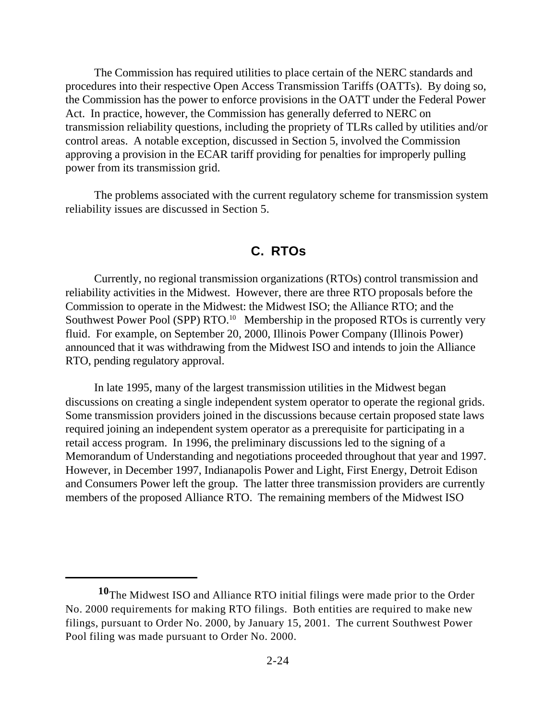The Commission has required utilities to place certain of the NERC standards and procedures into their respective Open Access Transmission Tariffs (OATTs). By doing so, the Commission has the power to enforce provisions in the OATT under the Federal Power Act. In practice, however, the Commission has generally deferred to NERC on transmission reliability questions, including the propriety of TLRs called by utilities and/or control areas. A notable exception, discussed in Section 5, involved the Commission approving a provision in the ECAR tariff providing for penalties for improperly pulling power from its transmission grid.

The problems associated with the current regulatory scheme for transmission system reliability issues are discussed in Section 5.

#### **C. RTOs**

Currently, no regional transmission organizations (RTOs) control transmission and reliability activities in the Midwest. However, there are three RTO proposals before the Commission to operate in the Midwest: the Midwest ISO; the Alliance RTO; and the Southwest Power Pool (SPP) RTO.<sup>10</sup> Membership in the proposed RTOs is currently very fluid. For example, on September 20, 2000, Illinois Power Company (Illinois Power) announced that it was withdrawing from the Midwest ISO and intends to join the Alliance RTO, pending regulatory approval.

In late 1995, many of the largest transmission utilities in the Midwest began discussions on creating a single independent system operator to operate the regional grids. Some transmission providers joined in the discussions because certain proposed state laws required joining an independent system operator as a prerequisite for participating in a retail access program. In 1996, the preliminary discussions led to the signing of a Memorandum of Understanding and negotiations proceeded throughout that year and 1997. However, in December 1997, Indianapolis Power and Light, First Energy, Detroit Edison and Consumers Power left the group. The latter three transmission providers are currently members of the proposed Alliance RTO. The remaining members of the Midwest ISO

**<sup>10</sup>**The Midwest ISO and Alliance RTO initial filings were made prior to the Order No. 2000 requirements for making RTO filings. Both entities are required to make new filings, pursuant to Order No. 2000, by January 15, 2001. The current Southwest Power Pool filing was made pursuant to Order No. 2000.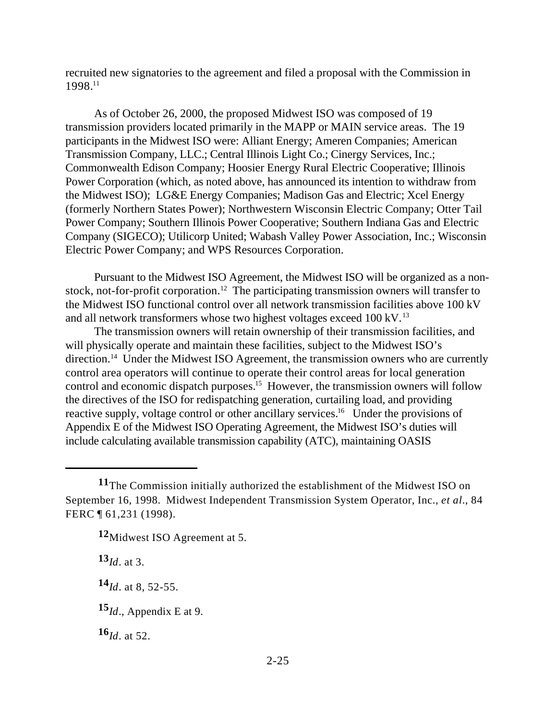recruited new signatories to the agreement and filed a proposal with the Commission in 1998.<sup>11</sup>

As of October 26, 2000, the proposed Midwest ISO was composed of 19 transmission providers located primarily in the MAPP or MAIN service areas. The 19 participants in the Midwest ISO were: Alliant Energy; Ameren Companies; American Transmission Company, LLC.; Central Illinois Light Co.; Cinergy Services, Inc.; Commonwealth Edison Company; Hoosier Energy Rural Electric Cooperative; Illinois Power Corporation (which, as noted above, has announced its intention to withdraw from the Midwest ISO); LG&E Energy Companies; Madison Gas and Electric; Xcel Energy (formerly Northern States Power); Northwestern Wisconsin Electric Company; Otter Tail Power Company; Southern Illinois Power Cooperative; Southern Indiana Gas and Electric Company (SIGECO); Utilicorp United; Wabash Valley Power Association, Inc.; Wisconsin Electric Power Company; and WPS Resources Corporation.

Pursuant to the Midwest ISO Agreement, the Midwest ISO will be organized as a nonstock, not-for-profit corporation.<sup>12</sup> The participating transmission owners will transfer to the Midwest ISO functional control over all network transmission facilities above 100 kV and all network transformers whose two highest voltages exceed 100 kV.<sup>13</sup>

The transmission owners will retain ownership of their transmission facilities, and will physically operate and maintain these facilities, subject to the Midwest ISO's direction.<sup>14</sup> Under the Midwest ISO Agreement, the transmission owners who are currently control area operators will continue to operate their control areas for local generation control and economic dispatch purposes.<sup>15</sup> However, the transmission owners will follow the directives of the ISO for redispatching generation, curtailing load, and providing reactive supply, voltage control or other ancillary services.<sup>16</sup> Under the provisions of Appendix E of the Midwest ISO Operating Agreement, the Midwest ISO's duties will include calculating available transmission capability (ATC), maintaining OASIS

**<sup>13</sup>***Id*. at 3.

**<sup>14</sup>***Id*. at 8, 52-55.

**<sup>15</sup>***Id*., Appendix E at 9.

**<sup>16</sup>***Id*. at 52.

**<sup>11</sup>**The Commission initially authorized the establishment of the Midwest ISO on September 16, 1998. Midwest Independent Transmission System Operator, Inc., *et al.*, 84 FERC ¶ 61,231 (1998).

**<sup>12</sup>**Midwest ISO Agreement at 5.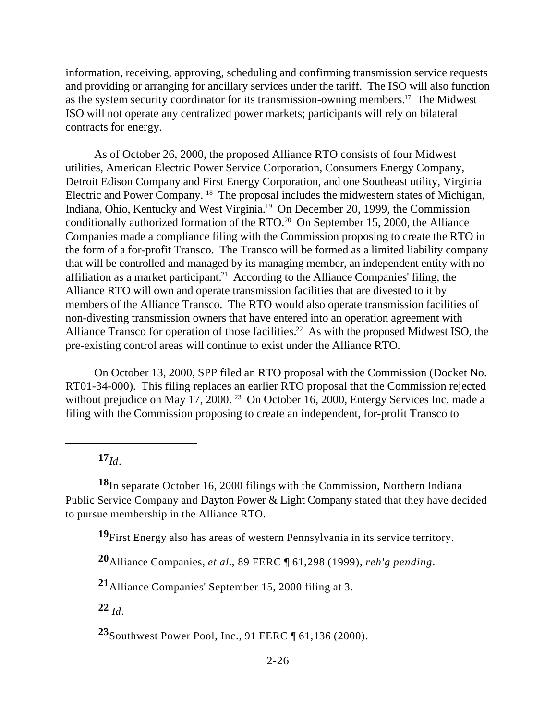information, receiving, approving, scheduling and confirming transmission service requests and providing or arranging for ancillary services under the tariff. The ISO will also function as the system security coordinator for its transmission-owning members.<sup>17</sup> The Midwest ISO will not operate any centralized power markets; participants will rely on bilateral contracts for energy.

As of October 26, 2000, the proposed Alliance RTO consists of four Midwest utilities, American Electric Power Service Corporation, Consumers Energy Company, Detroit Edison Company and First Energy Corporation, and one Southeast utility, Virginia Electric and Power Company. <sup>18</sup> The proposal includes the midwestern states of Michigan, Indiana, Ohio, Kentucky and West Virginia.<sup>19</sup> On December 20, 1999, the Commission conditionally authorized formation of the RTO.<sup>20</sup> On September 15, 2000, the Alliance Companies made a compliance filing with the Commission proposing to create the RTO in the form of a for-profit Transco. The Transco will be formed as a limited liability company that will be controlled and managed by its managing member, an independent entity with no affiliation as a market participant.<sup>21</sup> According to the Alliance Companies' filing, the Alliance RTO will own and operate transmission facilities that are divested to it by members of the Alliance Transco. The RTO would also operate transmission facilities of non-divesting transmission owners that have entered into an operation agreement with Alliance Transco for operation of those facilities.<sup>22</sup> As with the proposed Midwest ISO, the pre-existing control areas will continue to exist under the Alliance RTO.

On October 13, 2000, SPP filed an RTO proposal with the Commission (Docket No. RT01-34-000). This filing replaces an earlier RTO proposal that the Commission rejected without prejudice on May 17, 2000.<sup>23</sup> On October 16, 2000, Entergy Services Inc. made a filing with the Commission proposing to create an independent, for-profit Transco to

**<sup>17</sup>***Id*.

**<sup>18</sup>**In separate October 16, 2000 filings with the Commission, Northern Indiana Public Service Company and Dayton Power & Light Company stated that they have decided to pursue membership in the Alliance RTO.

**<sup>19</sup>**First Energy also has areas of western Pennsylvania in its service territory.

**<sup>20</sup>**Alliance Companies, *et al.*, 89 FERC ¶ 61,298 (1999), *reh'g pending*.

**<sup>21</sup>**Alliance Companies' September 15, 2000 filing at 3.

**<sup>22</sup>** *Id*.

**<sup>23</sup>**Southwest Power Pool, Inc., 91 FERC ¶ 61,136 (2000).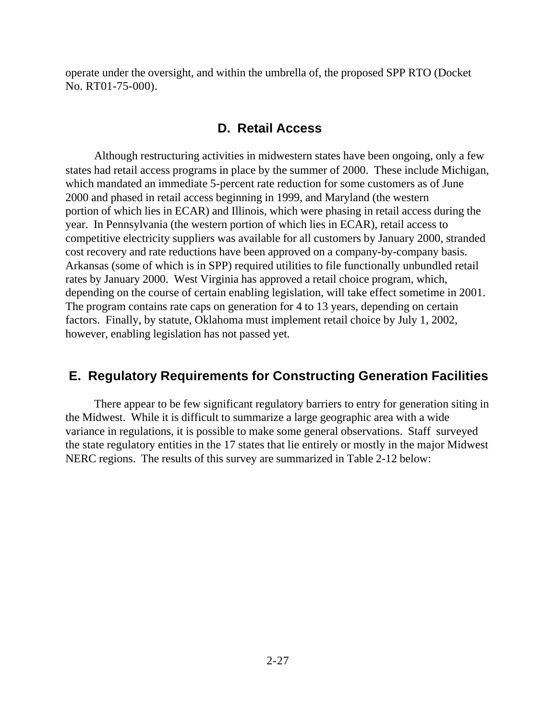operate under the oversight, and within the umbrella of, the proposed SPP RTO (Docket No. RT01-75-000).

#### **D. Retail Access**

Although restructuring activities in midwestern states have been ongoing, only a few states had retail access programs in place by the summer of 2000. These include Michigan, which mandated an immediate 5-percent rate reduction for some customers as of June 2000 and phased in retail access beginning in 1999, and Maryland (the western portion of which lies in ECAR) and Illinois, which were phasing in retail access during the year. In Pennsylvania (the western portion of which lies in ECAR), retail access to competitive electricity suppliers was available for all customers by January 2000, stranded cost recovery and rate reductions have been approved on a company-by-company basis. Arkansas (some of which is in SPP) required utilities to file functionally unbundled retail rates by January 2000. West Virginia has approved a retail choice program, which, depending on the course of certain enabling legislation, will take effect sometime in 2001. The program contains rate caps on generation for 4 to 13 years, depending on certain factors. Finally, by statute, Oklahoma must implement retail choice by July 1, 2002, however, enabling legislation has not passed yet.

#### **E. Regulatory Requirements for Constructing Generation Facilities**

There appear to be few significant regulatory barriers to entry for generation siting in the Midwest. While it is difficult to summarize a large geographic area with a wide variance in regulations, it is possible to make some general observations. Staff surveyed the state regulatory entities in the 17 states that lie entirely or mostly in the major Midwest NERC regions. The results of this survey are summarized in Table 2-12 below: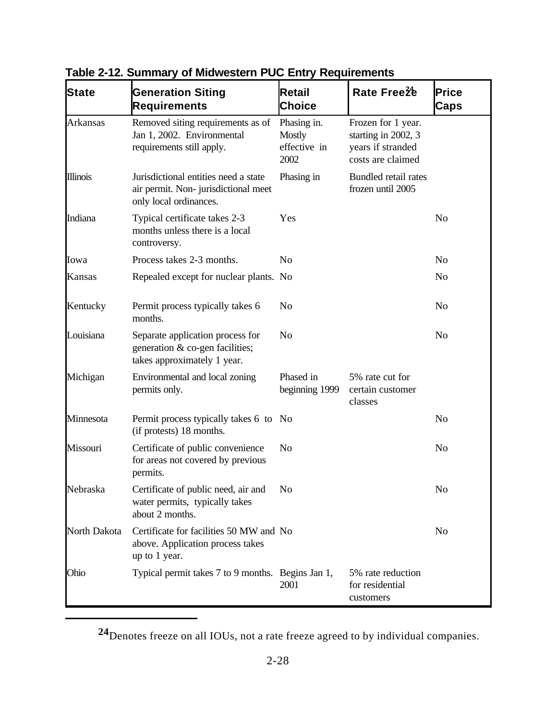| <b>State</b>    | <b>Generation Siting</b><br><b>Requirements</b>                                                       | Retail<br><b>Choice</b>                              | Rate Free2 <sup>4</sup>                                                             | <b>Price</b><br>Caps |
|-----------------|-------------------------------------------------------------------------------------------------------|------------------------------------------------------|-------------------------------------------------------------------------------------|----------------------|
| Arkansas        | Removed siting requirements as of<br>Jan 1, 2002. Environmental<br>requirements still apply.          | Phasing in.<br><b>Mostly</b><br>effective in<br>2002 | Frozen for 1 year.<br>starting in 2002, 3<br>years if stranded<br>costs are claimed |                      |
| <b>Illinois</b> | Jurisdictional entities need a state<br>air permit. Non-jurisdictional meet<br>only local ordinances. | Phasing in                                           | Bundled retail rates<br>frozen until 2005                                           |                      |
| Indiana         | Typical certificate takes 2-3<br>months unless there is a local<br>controversy.                       | Yes                                                  |                                                                                     | N <sub>o</sub>       |
| Iowa            | Process takes 2-3 months.                                                                             | N <sub>o</sub>                                       |                                                                                     | N <sub>o</sub>       |
| Kansas          | Repealed except for nuclear plants. No                                                                |                                                      |                                                                                     | N <sub>0</sub>       |
| Kentucky        | Permit process typically takes 6<br>months.                                                           | N <sub>o</sub>                                       |                                                                                     | N <sub>0</sub>       |
| Louisiana       | Separate application process for<br>generation & co-gen facilities;<br>takes approximately 1 year.    | N <sub>o</sub>                                       |                                                                                     | N <sub>o</sub>       |
| Michigan        | Environmental and local zoning<br>permits only.                                                       | Phased in<br>beginning 1999                          | 5% rate cut for<br>certain customer<br>classes                                      |                      |
| Minnesota       | Permit process typically takes 6 to No<br>(if protests) 18 months.                                    |                                                      |                                                                                     | N <sub>o</sub>       |
| Missouri        | Certificate of public convenience<br>for areas not covered by previous<br>permits.                    | N <sub>o</sub>                                       |                                                                                     | N <sub>o</sub>       |
| Nebraska        | Certificate of public need, air and No<br>water permits, typically takes<br>about 2 months.           |                                                      |                                                                                     | No                   |
| North Dakota    | Certificate for facilities 50 MW and No<br>above. Application process takes<br>up to 1 year.          |                                                      |                                                                                     | No                   |
| Ohio            | Typical permit takes 7 to 9 months. Begins Jan 1,                                                     | 2001                                                 | 5% rate reduction<br>for residential<br>customers                                   |                      |

**Table 2-12. Summary of Midwestern PUC Entry Requirements**

**<sup>24</sup>**Denotes freeze on all IOUs, not a rate freeze agreed to by individual companies.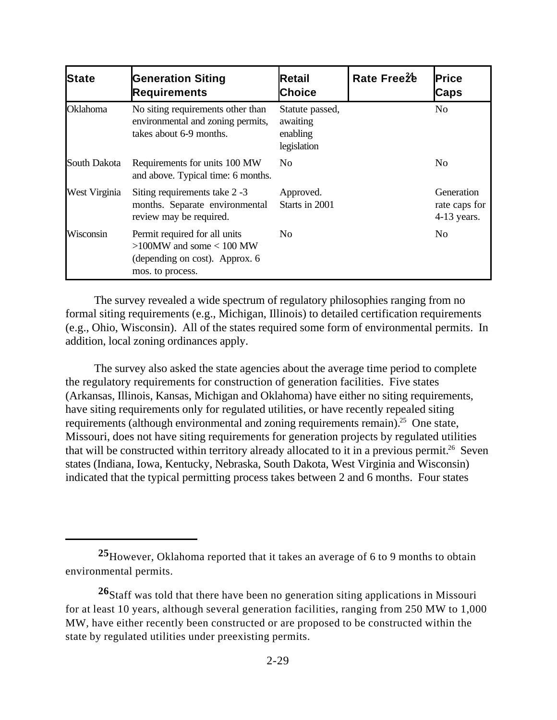| <b>State</b>  | <b>Generation Siting</b><br><b>Requirements</b>                                                                      | Retail<br><b>Choice</b>                                | Rate Free2 <sup>4</sup> | <b>Price</b><br>Caps                         |
|---------------|----------------------------------------------------------------------------------------------------------------------|--------------------------------------------------------|-------------------------|----------------------------------------------|
| Oklahoma      | No siting requirements other than<br>environmental and zoning permits,<br>takes about 6-9 months.                    | Statute passed,<br>awaiting<br>enabling<br>legislation |                         | N <sub>0</sub>                               |
| South Dakota  | Requirements for units 100 MW<br>and above. Typical time: 6 months.                                                  | N <sub>0</sub>                                         |                         | N <sub>0</sub>                               |
| West Virginia | Siting requirements take 2 -3<br>months. Separate environmental<br>review may be required.                           | Approved.<br>Starts in 2001                            |                         | Generation<br>rate caps for<br>$4-13$ years. |
| Wisconsin     | Permit required for all units<br>$>100$ MW and some $< 100$ MW<br>(depending on cost). Approx. 6<br>mos. to process. | N <sub>0</sub>                                         |                         | N <sub>0</sub>                               |

The survey revealed a wide spectrum of regulatory philosophies ranging from no formal siting requirements (e.g., Michigan, Illinois) to detailed certification requirements (e.g., Ohio, Wisconsin). All of the states required some form of environmental permits. In addition, local zoning ordinances apply.

The survey also asked the state agencies about the average time period to complete the regulatory requirements for construction of generation facilities. Five states (Arkansas, Illinois, Kansas, Michigan and Oklahoma) have either no siting requirements, have siting requirements only for regulated utilities, or have recently repealed siting requirements (although environmental and zoning requirements remain).<sup>25</sup> One state, Missouri, does not have siting requirements for generation projects by regulated utilities that will be constructed within territory already allocated to it in a previous permit.<sup>26</sup> Seven states (Indiana, Iowa, Kentucky, Nebraska, South Dakota, West Virginia and Wisconsin) indicated that the typical permitting process takes between 2 and 6 months. Four states

**<sup>25</sup>**However, Oklahoma reported that it takes an average of 6 to 9 months to obtain environmental permits.

**<sup>26</sup>**Staff was told that there have been no generation siting applications in Missouri for at least 10 years, although several generation facilities, ranging from 250 MW to 1,000 MW, have either recently been constructed or are proposed to be constructed within the state by regulated utilities under preexisting permits.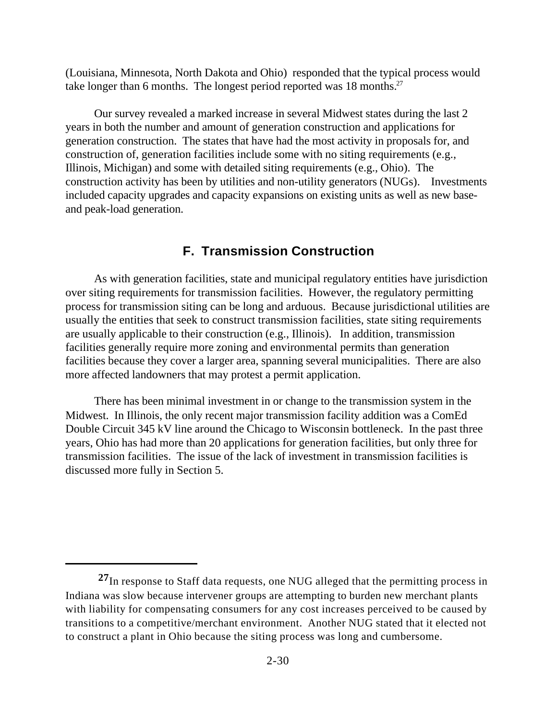(Louisiana, Minnesota, North Dakota and Ohio) responded that the typical process would take longer than 6 months. The longest period reported was  $18$  months.<sup>27</sup>

Our survey revealed a marked increase in several Midwest states during the last 2 years in both the number and amount of generation construction and applications for generation construction. The states that have had the most activity in proposals for, and construction of, generation facilities include some with no siting requirements (e.g., Illinois, Michigan) and some with detailed siting requirements (e.g., Ohio). The construction activity has been by utilities and non-utility generators (NUGs). Investments included capacity upgrades and capacity expansions on existing units as well as new baseand peak-load generation.

#### **F. Transmission Construction**

As with generation facilities, state and municipal regulatory entities have jurisdiction over siting requirements for transmission facilities. However, the regulatory permitting process for transmission siting can be long and arduous. Because jurisdictional utilities are usually the entities that seek to construct transmission facilities, state siting requirements are usually applicable to their construction (e.g., Illinois). In addition, transmission facilities generally require more zoning and environmental permits than generation facilities because they cover a larger area, spanning several municipalities. There are also more affected landowners that may protest a permit application.

There has been minimal investment in or change to the transmission system in the Midwest. In Illinois, the only recent major transmission facility addition was a ComEd Double Circuit 345 kV line around the Chicago to Wisconsin bottleneck. In the past three years, Ohio has had more than 20 applications for generation facilities, but only three for transmission facilities. The issue of the lack of investment in transmission facilities is discussed more fully in Section 5.

**<sup>27</sup>**In response to Staff data requests, one NUG alleged that the permitting process in Indiana was slow because intervener groups are attempting to burden new merchant plants with liability for compensating consumers for any cost increases perceived to be caused by transitions to a competitive/merchant environment. Another NUG stated that it elected not to construct a plant in Ohio because the siting process was long and cumbersome.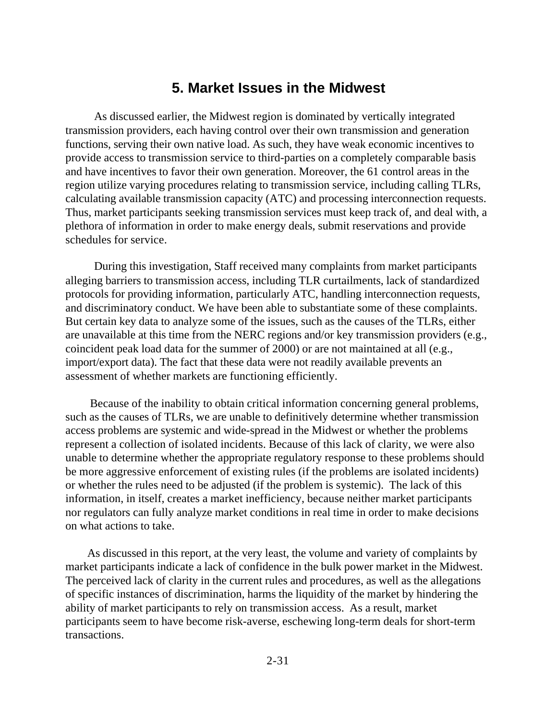### **5. Market Issues in the Midwest**

As discussed earlier, the Midwest region is dominated by vertically integrated transmission providers, each having control over their own transmission and generation functions, serving their own native load. As such, they have weak economic incentives to provide access to transmission service to third-parties on a completely comparable basis and have incentives to favor their own generation. Moreover, the 61 control areas in the region utilize varying procedures relating to transmission service, including calling TLRs, calculating available transmission capacity (ATC) and processing interconnection requests. Thus, market participants seeking transmission services must keep track of, and deal with, a plethora of information in order to make energy deals, submit reservations and provide schedules for service.

During this investigation, Staff received many complaints from market participants alleging barriers to transmission access, including TLR curtailments, lack of standardized protocols for providing information, particularly ATC, handling interconnection requests, and discriminatory conduct. We have been able to substantiate some of these complaints. But certain key data to analyze some of the issues, such as the causes of the TLRs, either are unavailable at this time from the NERC regions and/or key transmission providers (e.g., coincident peak load data for the summer of 2000) or are not maintained at all (e.g., import/export data). The fact that these data were not readily available prevents an assessment of whether markets are functioning efficiently.

 Because of the inability to obtain critical information concerning general problems, such as the causes of TLRs, we are unable to definitively determine whether transmission access problems are systemic and wide-spread in the Midwest or whether the problems represent a collection of isolated incidents. Because of this lack of clarity, we were also unable to determine whether the appropriate regulatory response to these problems should be more aggressive enforcement of existing rules (if the problems are isolated incidents) or whether the rules need to be adjusted (if the problem is systemic). The lack of this information, in itself, creates a market inefficiency, because neither market participants nor regulators can fully analyze market conditions in real time in order to make decisions on what actions to take.

 As discussed in this report, at the very least, the volume and variety of complaints by market participants indicate a lack of confidence in the bulk power market in the Midwest. The perceived lack of clarity in the current rules and procedures, as well as the allegations of specific instances of discrimination, harms the liquidity of the market by hindering the ability of market participants to rely on transmission access. As a result, market participants seem to have become risk-averse, eschewing long-term deals for short-term transactions.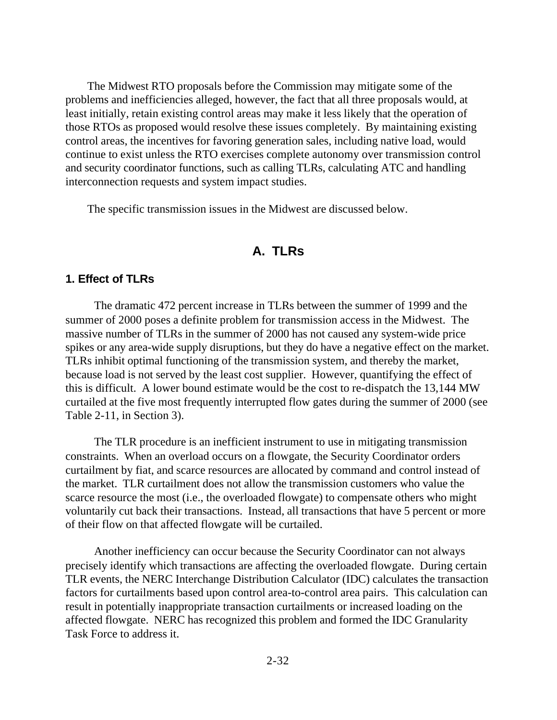The Midwest RTO proposals before the Commission may mitigate some of the problems and inefficiencies alleged, however, the fact that all three proposals would, at least initially, retain existing control areas may make it less likely that the operation of those RTOs as proposed would resolve these issues completely. By maintaining existing control areas, the incentives for favoring generation sales, including native load, would continue to exist unless the RTO exercises complete autonomy over transmission control and security coordinator functions, such as calling TLRs, calculating ATC and handling interconnection requests and system impact studies.

The specific transmission issues in the Midwest are discussed below.

### **A. TLRs**

#### **1. Effect of TLRs**

The dramatic 472 percent increase in TLRs between the summer of 1999 and the summer of 2000 poses a definite problem for transmission access in the Midwest. The massive number of TLRs in the summer of 2000 has not caused any system-wide price spikes or any area-wide supply disruptions, but they do have a negative effect on the market. TLRs inhibit optimal functioning of the transmission system, and thereby the market, because load is not served by the least cost supplier. However, quantifying the effect of this is difficult. A lower bound estimate would be the cost to re-dispatch the 13,144 MW curtailed at the five most frequently interrupted flow gates during the summer of 2000 (see Table 2-11, in Section 3).

The TLR procedure is an inefficient instrument to use in mitigating transmission constraints. When an overload occurs on a flowgate, the Security Coordinator orders curtailment by fiat, and scarce resources are allocated by command and control instead of the market. TLR curtailment does not allow the transmission customers who value the scarce resource the most (i.e., the overloaded flowgate) to compensate others who might voluntarily cut back their transactions. Instead, all transactions that have 5 percent or more of their flow on that affected flowgate will be curtailed.

Another inefficiency can occur because the Security Coordinator can not always precisely identify which transactions are affecting the overloaded flowgate. During certain TLR events, the NERC Interchange Distribution Calculator (IDC) calculates the transaction factors for curtailments based upon control area-to-control area pairs. This calculation can result in potentially inappropriate transaction curtailments or increased loading on the affected flowgate. NERC has recognized this problem and formed the IDC Granularity Task Force to address it.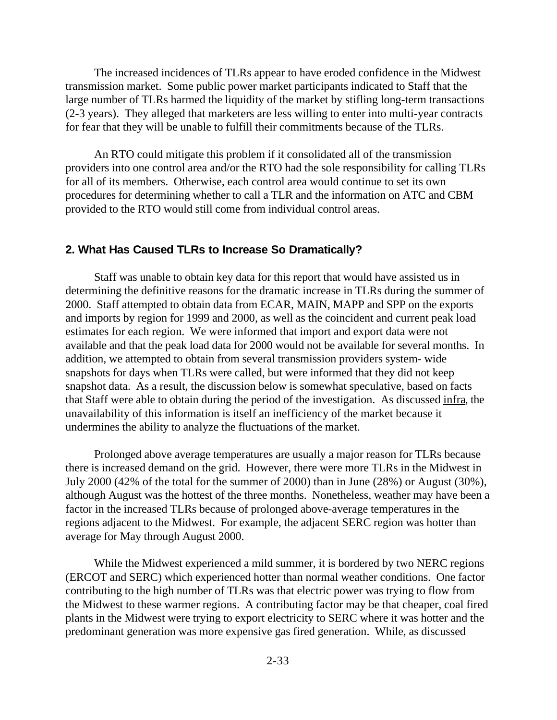The increased incidences of TLRs appear to have eroded confidence in the Midwest transmission market. Some public power market participants indicated to Staff that the large number of TLRs harmed the liquidity of the market by stifling long-term transactions (2-3 years). They alleged that marketers are less willing to enter into multi-year contracts for fear that they will be unable to fulfill their commitments because of the TLRs.

An RTO could mitigate this problem if it consolidated all of the transmission providers into one control area and/or the RTO had the sole responsibility for calling TLRs for all of its members. Otherwise, each control area would continue to set its own procedures for determining whether to call a TLR and the information on ATC and CBM provided to the RTO would still come from individual control areas.

#### **2. What Has Caused TLRs to Increase So Dramatically?**

Staff was unable to obtain key data for this report that would have assisted us in determining the definitive reasons for the dramatic increase in TLRs during the summer of 2000. Staff attempted to obtain data from ECAR, MAIN, MAPP and SPP on the exports and imports by region for 1999 and 2000, as well as the coincident and current peak load estimates for each region. We were informed that import and export data were not available and that the peak load data for 2000 would not be available for several months. In addition, we attempted to obtain from several transmission providers system- wide snapshots for days when TLRs were called, but were informed that they did not keep snapshot data. As a result, the discussion below is somewhat speculative, based on facts that Staff were able to obtain during the period of the investigation. As discussed infra, the unavailability of this information is itself an inefficiency of the market because it undermines the ability to analyze the fluctuations of the market.

Prolonged above average temperatures are usually a major reason for TLRs because there is increased demand on the grid. However, there were more TLRs in the Midwest in July 2000 (42% of the total for the summer of 2000) than in June (28%) or August (30%), although August was the hottest of the three months. Nonetheless, weather may have been a factor in the increased TLRs because of prolonged above-average temperatures in the regions adjacent to the Midwest. For example, the adjacent SERC region was hotter than average for May through August 2000.

While the Midwest experienced a mild summer, it is bordered by two NERC regions (ERCOT and SERC) which experienced hotter than normal weather conditions. One factor contributing to the high number of TLRs was that electric power was trying to flow from the Midwest to these warmer regions. A contributing factor may be that cheaper, coal fired plants in the Midwest were trying to export electricity to SERC where it was hotter and the predominant generation was more expensive gas fired generation. While, as discussed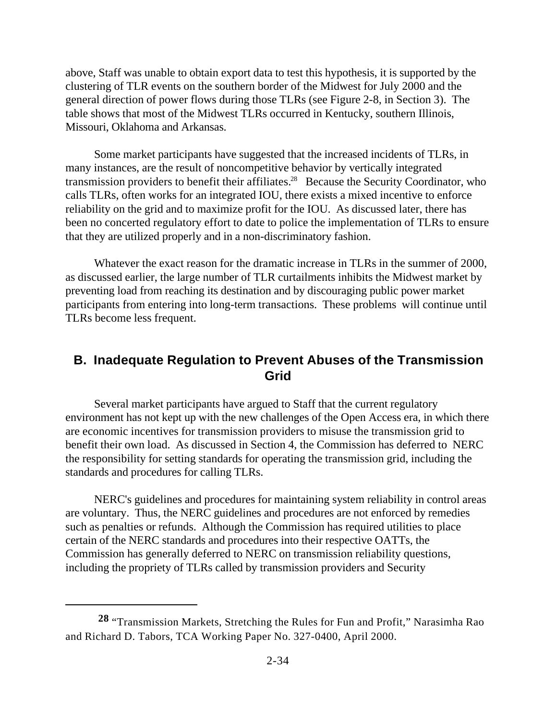above, Staff was unable to obtain export data to test this hypothesis, it is supported by the clustering of TLR events on the southern border of the Midwest for July 2000 and the general direction of power flows during those TLRs (see Figure 2-8, in Section 3). The table shows that most of the Midwest TLRs occurred in Kentucky, southern Illinois, Missouri, Oklahoma and Arkansas.

Some market participants have suggested that the increased incidents of TLRs, in many instances, are the result of noncompetitive behavior by vertically integrated transmission providers to benefit their affiliates.<sup>28</sup> Because the Security Coordinator, who calls TLRs, often works for an integrated IOU, there exists a mixed incentive to enforce reliability on the grid and to maximize profit for the IOU. As discussed later, there has been no concerted regulatory effort to date to police the implementation of TLRs to ensure that they are utilized properly and in a non-discriminatory fashion.

Whatever the exact reason for the dramatic increase in TLRs in the summer of 2000, as discussed earlier, the large number of TLR curtailments inhibits the Midwest market by preventing load from reaching its destination and by discouraging public power market participants from entering into long-term transactions. These problems will continue until TLRs become less frequent.

## **B. Inadequate Regulation to Prevent Abuses of the Transmission Grid**

Several market participants have argued to Staff that the current regulatory environment has not kept up with the new challenges of the Open Access era, in which there are economic incentives for transmission providers to misuse the transmission grid to benefit their own load. As discussed in Section 4, the Commission has deferred to NERC the responsibility for setting standards for operating the transmission grid, including the standards and procedures for calling TLRs.

NERC's guidelines and procedures for maintaining system reliability in control areas are voluntary. Thus, the NERC guidelines and procedures are not enforced by remedies such as penalties or refunds. Although the Commission has required utilities to place certain of the NERC standards and procedures into their respective OATTs, the Commission has generally deferred to NERC on transmission reliability questions, including the propriety of TLRs called by transmission providers and Security

**<sup>28</sup>** "Transmission Markets, Stretching the Rules for Fun and Profit," Narasimha Rao and Richard D. Tabors, TCA Working Paper No. 327-0400, April 2000.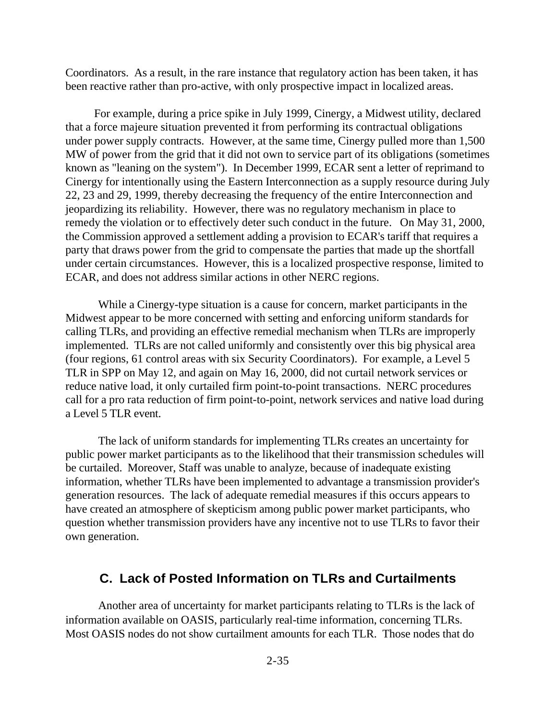Coordinators. As a result, in the rare instance that regulatory action has been taken, it has been reactive rather than pro-active, with only prospective impact in localized areas.

For example, during a price spike in July 1999, Cinergy, a Midwest utility, declared that a force majeure situation prevented it from performing its contractual obligations under power supply contracts. However, at the same time, Cinergy pulled more than 1,500 MW of power from the grid that it did not own to service part of its obligations (sometimes known as "leaning on the system"). In December 1999, ECAR sent a letter of reprimand to Cinergy for intentionally using the Eastern Interconnection as a supply resource during July 22, 23 and 29, 1999, thereby decreasing the frequency of the entire Interconnection and jeopardizing its reliability. However, there was no regulatory mechanism in place to remedy the violation or to effectively deter such conduct in the future. On May 31, 2000, the Commission approved a settlement adding a provision to ECAR's tariff that requires a party that draws power from the grid to compensate the parties that made up the shortfall under certain circumstances. However, this is a localized prospective response, limited to ECAR, and does not address similar actions in other NERC regions.

While a Cinergy-type situation is a cause for concern, market participants in the Midwest appear to be more concerned with setting and enforcing uniform standards for calling TLRs, and providing an effective remedial mechanism when TLRs are improperly implemented. TLRs are not called uniformly and consistently over this big physical area (four regions, 61 control areas with six Security Coordinators). For example, a Level 5 TLR in SPP on May 12, and again on May 16, 2000, did not curtail network services or reduce native load, it only curtailed firm point-to-point transactions. NERC procedures call for a pro rata reduction of firm point-to-point, network services and native load during a Level 5 TLR event.

The lack of uniform standards for implementing TLRs creates an uncertainty for public power market participants as to the likelihood that their transmission schedules will be curtailed. Moreover, Staff was unable to analyze, because of inadequate existing information, whether TLRs have been implemented to advantage a transmission provider's generation resources. The lack of adequate remedial measures if this occurs appears to have created an atmosphere of skepticism among public power market participants, who question whether transmission providers have any incentive not to use TLRs to favor their own generation.

#### **C. Lack of Posted Information on TLRs and Curtailments**

Another area of uncertainty for market participants relating to TLRs is the lack of information available on OASIS, particularly real-time information, concerning TLRs. Most OASIS nodes do not show curtailment amounts for each TLR. Those nodes that do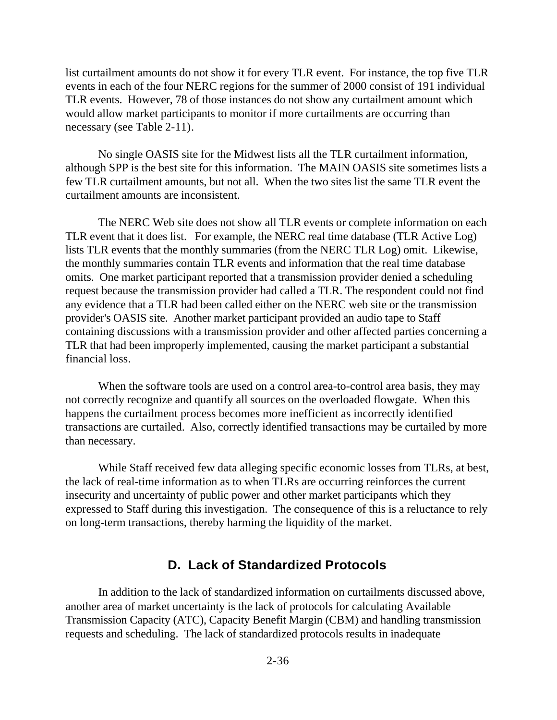list curtailment amounts do not show it for every TLR event. For instance, the top five TLR events in each of the four NERC regions for the summer of 2000 consist of 191 individual TLR events. However, 78 of those instances do not show any curtailment amount which would allow market participants to monitor if more curtailments are occurring than necessary (see Table 2-11).

No single OASIS site for the Midwest lists all the TLR curtailment information, although SPP is the best site for this information. The MAIN OASIS site sometimes lists a few TLR curtailment amounts, but not all. When the two sites list the same TLR event the curtailment amounts are inconsistent.

The NERC Web site does not show all TLR events or complete information on each TLR event that it does list. For example, the NERC real time database (TLR Active Log) lists TLR events that the monthly summaries (from the NERC TLR Log) omit. Likewise, the monthly summaries contain TLR events and information that the real time database omits. One market participant reported that a transmission provider denied a scheduling request because the transmission provider had called a TLR. The respondent could not find any evidence that a TLR had been called either on the NERC web site or the transmission provider's OASIS site. Another market participant provided an audio tape to Staff containing discussions with a transmission provider and other affected parties concerning a TLR that had been improperly implemented, causing the market participant a substantial financial loss.

When the software tools are used on a control area-to-control area basis, they may not correctly recognize and quantify all sources on the overloaded flowgate. When this happens the curtailment process becomes more inefficient as incorrectly identified transactions are curtailed. Also, correctly identified transactions may be curtailed by more than necessary.

While Staff received few data alleging specific economic losses from TLRs, at best, the lack of real-time information as to when TLRs are occurring reinforces the current insecurity and uncertainty of public power and other market participants which they expressed to Staff during this investigation. The consequence of this is a reluctance to rely on long-term transactions, thereby harming the liquidity of the market.

#### **D. Lack of Standardized Protocols**

In addition to the lack of standardized information on curtailments discussed above, another area of market uncertainty is the lack of protocols for calculating Available Transmission Capacity (ATC), Capacity Benefit Margin (CBM) and handling transmission requests and scheduling. The lack of standardized protocols results in inadequate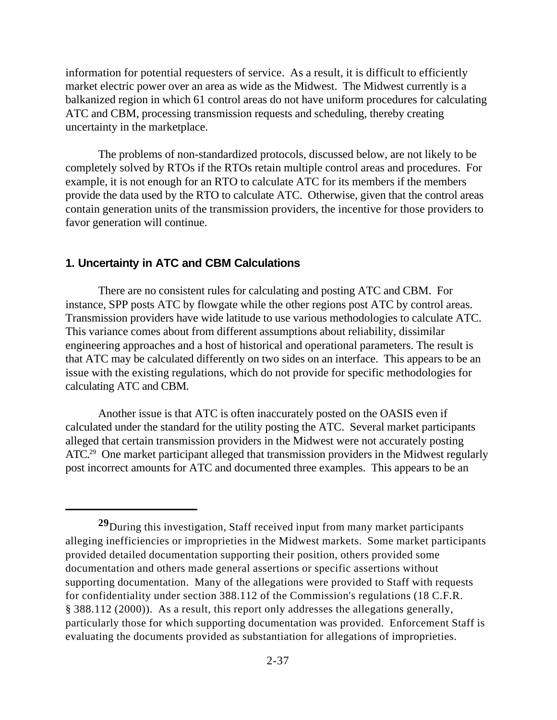information for potential requesters of service. As a result, it is difficult to efficiently market electric power over an area as wide as the Midwest. The Midwest currently is a balkanized region in which 61 control areas do not have uniform procedures for calculating ATC and CBM, processing transmission requests and scheduling, thereby creating uncertainty in the marketplace.

The problems of non-standardized protocols, discussed below, are not likely to be completely solved by RTOs if the RTOs retain multiple control areas and procedures. For example, it is not enough for an RTO to calculate ATC for its members if the members provide the data used by the RTO to calculate ATC. Otherwise, given that the control areas contain generation units of the transmission providers, the incentive for those providers to favor generation will continue.

#### **1. Uncertainty in ATC and CBM Calculations**

There are no consistent rules for calculating and posting ATC and CBM. For instance, SPP posts ATC by flowgate while the other regions post ATC by control areas. Transmission providers have wide latitude to use various methodologies to calculate ATC. This variance comes about from different assumptions about reliability, dissimilar engineering approaches and a host of historical and operational parameters. The result is that ATC may be calculated differently on two sides on an interface. This appears to be an issue with the existing regulations, which do not provide for specific methodologies for calculating ATC and CBM.

Another issue is that ATC is often inaccurately posted on the OASIS even if calculated under the standard for the utility posting the ATC. Several market participants alleged that certain transmission providers in the Midwest were not accurately posting ATC.<sup>29</sup> One market participant alleged that transmission providers in the Midwest regularly post incorrect amounts for ATC and documented three examples. This appears to be an

**<sup>29</sup>**During this investigation, Staff received input from many market participants alleging inefficiencies or improprieties in the Midwest markets. Some market participants provided detailed documentation supporting their position, others provided some documentation and others made general assertions or specific assertions without supporting documentation. Many of the allegations were provided to Staff with requests for confidentiality under section 388.112 of the Commission's regulations (18 C.F.R. § 388.112 (2000)). As a result, this report only addresses the allegations generally, particularly those for which supporting documentation was provided. Enforcement Staff is evaluating the documents provided as substantiation for allegations of improprieties.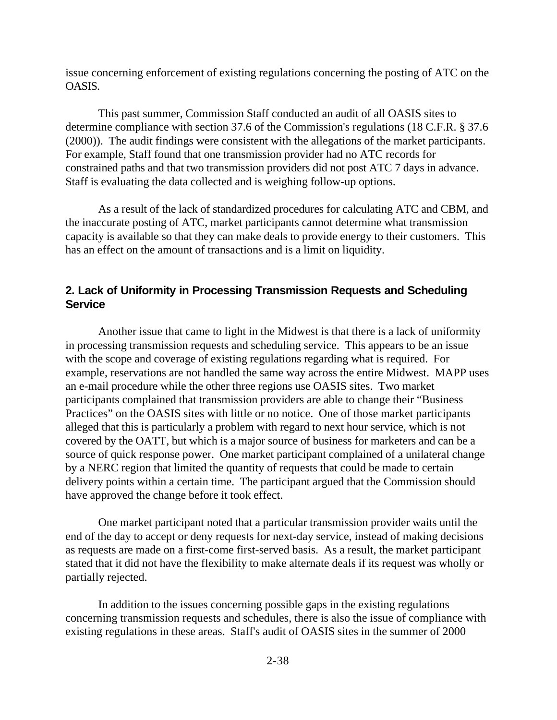issue concerning enforcement of existing regulations concerning the posting of ATC on the OASIS.

This past summer, Commission Staff conducted an audit of all OASIS sites to determine compliance with section 37.6 of the Commission's regulations (18 C.F.R. § 37.6 (2000)). The audit findings were consistent with the allegations of the market participants. For example, Staff found that one transmission provider had no ATC records for constrained paths and that two transmission providers did not post ATC 7 days in advance. Staff is evaluating the data collected and is weighing follow-up options.

As a result of the lack of standardized procedures for calculating ATC and CBM, and the inaccurate posting of ATC, market participants cannot determine what transmission capacity is available so that they can make deals to provide energy to their customers. This has an effect on the amount of transactions and is a limit on liquidity.

#### **2. Lack of Uniformity in Processing Transmission Requests and Scheduling Service**

Another issue that came to light in the Midwest is that there is a lack of uniformity in processing transmission requests and scheduling service. This appears to be an issue with the scope and coverage of existing regulations regarding what is required. For example, reservations are not handled the same way across the entire Midwest. MAPP uses an e-mail procedure while the other three regions use OASIS sites. Two market participants complained that transmission providers are able to change their "Business Practices" on the OASIS sites with little or no notice. One of those market participants alleged that this is particularly a problem with regard to next hour service, which is not covered by the OATT, but which is a major source of business for marketers and can be a source of quick response power. One market participant complained of a unilateral change by a NERC region that limited the quantity of requests that could be made to certain delivery points within a certain time. The participant argued that the Commission should have approved the change before it took effect.

One market participant noted that a particular transmission provider waits until the end of the day to accept or deny requests for next-day service, instead of making decisions as requests are made on a first-come first-served basis. As a result, the market participant stated that it did not have the flexibility to make alternate deals if its request was wholly or partially rejected.

In addition to the issues concerning possible gaps in the existing regulations concerning transmission requests and schedules, there is also the issue of compliance with existing regulations in these areas. Staff's audit of OASIS sites in the summer of 2000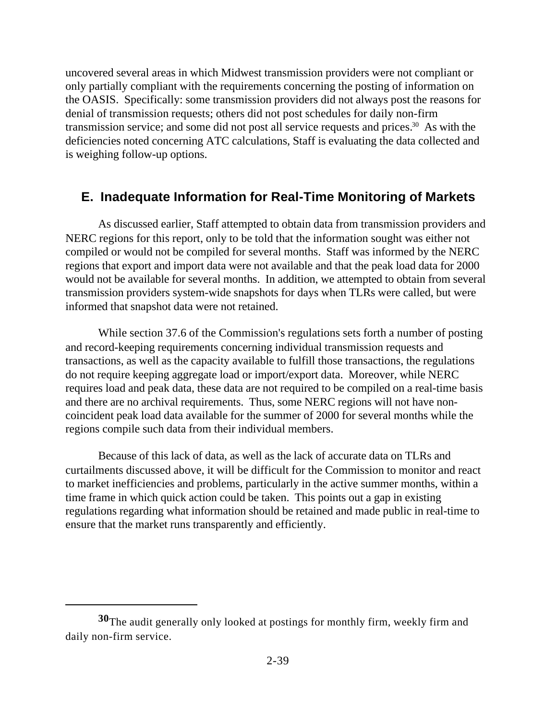uncovered several areas in which Midwest transmission providers were not compliant or only partially compliant with the requirements concerning the posting of information on the OASIS. Specifically: some transmission providers did not always post the reasons for denial of transmission requests; others did not post schedules for daily non-firm transmission service; and some did not post all service requests and prices.<sup>30</sup> As with the deficiencies noted concerning ATC calculations, Staff is evaluating the data collected and is weighing follow-up options.

### **E. Inadequate Information for Real-Time Monitoring of Markets**

As discussed earlier, Staff attempted to obtain data from transmission providers and NERC regions for this report, only to be told that the information sought was either not compiled or would not be compiled for several months. Staff was informed by the NERC regions that export and import data were not available and that the peak load data for 2000 would not be available for several months. In addition, we attempted to obtain from several transmission providers system-wide snapshots for days when TLRs were called, but were informed that snapshot data were not retained.

While section 37.6 of the Commission's regulations sets forth a number of posting and record-keeping requirements concerning individual transmission requests and transactions, as well as the capacity available to fulfill those transactions, the regulations do not require keeping aggregate load or import/export data. Moreover, while NERC requires load and peak data, these data are not required to be compiled on a real-time basis and there are no archival requirements. Thus, some NERC regions will not have noncoincident peak load data available for the summer of 2000 for several months while the regions compile such data from their individual members.

Because of this lack of data, as well as the lack of accurate data on TLRs and curtailments discussed above, it will be difficult for the Commission to monitor and react to market inefficiencies and problems, particularly in the active summer months, within a time frame in which quick action could be taken. This points out a gap in existing regulations regarding what information should be retained and made public in real-time to ensure that the market runs transparently and efficiently.

**<sup>30</sup>**The audit generally only looked at postings for monthly firm, weekly firm and daily non-firm service.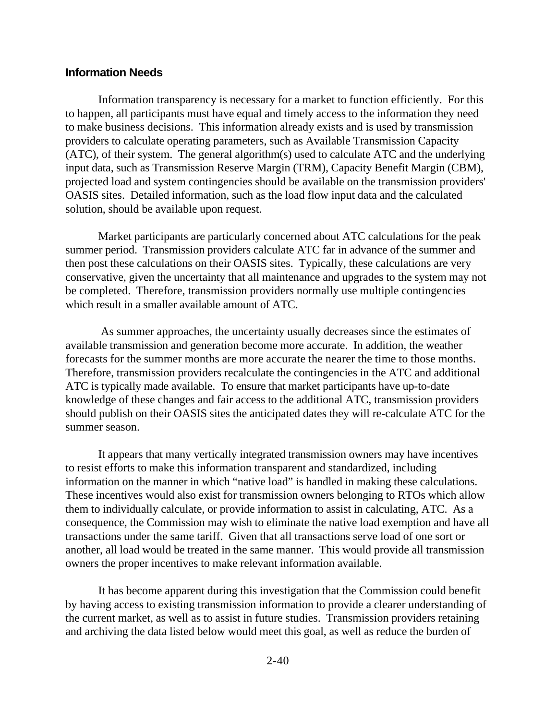#### **Information Needs**

Information transparency is necessary for a market to function efficiently. For this to happen, all participants must have equal and timely access to the information they need to make business decisions. This information already exists and is used by transmission providers to calculate operating parameters, such as Available Transmission Capacity (ATC), of their system. The general algorithm(s) used to calculate ATC and the underlying input data, such as Transmission Reserve Margin (TRM), Capacity Benefit Margin (CBM), projected load and system contingencies should be available on the transmission providers' OASIS sites. Detailed information, such as the load flow input data and the calculated solution, should be available upon request.

Market participants are particularly concerned about ATC calculations for the peak summer period. Transmission providers calculate ATC far in advance of the summer and then post these calculations on their OASIS sites. Typically, these calculations are very conservative, given the uncertainty that all maintenance and upgrades to the system may not be completed. Therefore, transmission providers normally use multiple contingencies which result in a smaller available amount of ATC.

 As summer approaches, the uncertainty usually decreases since the estimates of available transmission and generation become more accurate. In addition, the weather forecasts for the summer months are more accurate the nearer the time to those months. Therefore, transmission providers recalculate the contingencies in the ATC and additional ATC is typically made available. To ensure that market participants have up-to-date knowledge of these changes and fair access to the additional ATC, transmission providers should publish on their OASIS sites the anticipated dates they will re-calculate ATC for the summer season.

It appears that many vertically integrated transmission owners may have incentives to resist efforts to make this information transparent and standardized, including information on the manner in which "native load" is handled in making these calculations. These incentives would also exist for transmission owners belonging to RTOs which allow them to individually calculate, or provide information to assist in calculating, ATC. As a consequence, the Commission may wish to eliminate the native load exemption and have all transactions under the same tariff. Given that all transactions serve load of one sort or another, all load would be treated in the same manner. This would provide all transmission owners the proper incentives to make relevant information available.

It has become apparent during this investigation that the Commission could benefit by having access to existing transmission information to provide a clearer understanding of the current market, as well as to assist in future studies. Transmission providers retaining and archiving the data listed below would meet this goal, as well as reduce the burden of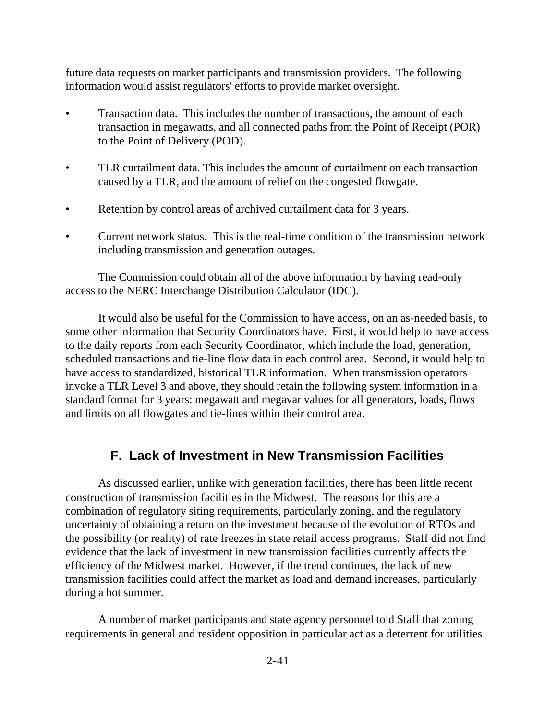future data requests on market participants and transmission providers. The following information would assist regulators' efforts to provide market oversight.

- Transaction data. This includes the number of transactions, the amount of each transaction in megawatts, and all connected paths from the Point of Receipt (POR) to the Point of Delivery (POD).
- TLR curtailment data. This includes the amount of curtailment on each transaction caused by a TLR, and the amount of relief on the congested flowgate.
- Retention by control areas of archived curtailment data for 3 years.
- Current network status. This is the real-time condition of the transmission network including transmission and generation outages.

The Commission could obtain all of the above information by having read-only access to the NERC Interchange Distribution Calculator (IDC).

It would also be useful for the Commission to have access, on an as-needed basis, to some other information that Security Coordinators have. First, it would help to have access to the daily reports from each Security Coordinator, which include the load, generation, scheduled transactions and tie-line flow data in each control area. Second, it would help to have access to standardized, historical TLR information. When transmission operators invoke a TLR Level 3 and above, they should retain the following system information in a standard format for 3 years: megawatt and megavar values for all generators, loads, flows and limits on all flowgates and tie-lines within their control area.

#### **F. Lack of Investment in New Transmission Facilities**

As discussed earlier, unlike with generation facilities, there has been little recent construction of transmission facilities in the Midwest. The reasons for this are a combination of regulatory siting requirements, particularly zoning, and the regulatory uncertainty of obtaining a return on the investment because of the evolution of RTOs and the possibility (or reality) of rate freezes in state retail access programs. Staff did not find evidence that the lack of investment in new transmission facilities currently affects the efficiency of the Midwest market. However, if the trend continues, the lack of new transmission facilities could affect the market as load and demand increases, particularly during a hot summer.

A number of market participants and state agency personnel told Staff that zoning requirements in general and resident opposition in particular act as a deterrent for utilities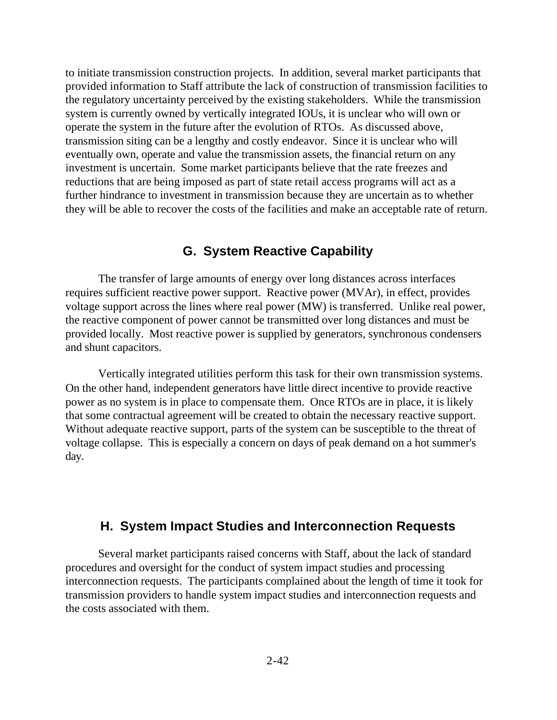to initiate transmission construction projects. In addition, several market participants that provided information to Staff attribute the lack of construction of transmission facilities to the regulatory uncertainty perceived by the existing stakeholders. While the transmission system is currently owned by vertically integrated IOUs, it is unclear who will own or operate the system in the future after the evolution of RTOs. As discussed above, transmission siting can be a lengthy and costly endeavor. Since it is unclear who will eventually own, operate and value the transmission assets, the financial return on any investment is uncertain. Some market participants believe that the rate freezes and reductions that are being imposed as part of state retail access programs will act as a further hindrance to investment in transmission because they are uncertain as to whether they will be able to recover the costs of the facilities and make an acceptable rate of return.

#### **G. System Reactive Capability**

The transfer of large amounts of energy over long distances across interfaces requires sufficient reactive power support. Reactive power (MVAr), in effect, provides voltage support across the lines where real power (MW) is transferred. Unlike real power, the reactive component of power cannot be transmitted over long distances and must be provided locally. Most reactive power is supplied by generators, synchronous condensers and shunt capacitors.

Vertically integrated utilities perform this task for their own transmission systems. On the other hand, independent generators have little direct incentive to provide reactive power as no system is in place to compensate them. Once RTOs are in place, it is likely that some contractual agreement will be created to obtain the necessary reactive support. Without adequate reactive support, parts of the system can be susceptible to the threat of voltage collapse. This is especially a concern on days of peak demand on a hot summer's day.

#### **H. System Impact Studies and Interconnection Requests**

Several market participants raised concerns with Staff, about the lack of standard procedures and oversight for the conduct of system impact studies and processing interconnection requests. The participants complained about the length of time it took for transmission providers to handle system impact studies and interconnection requests and the costs associated with them.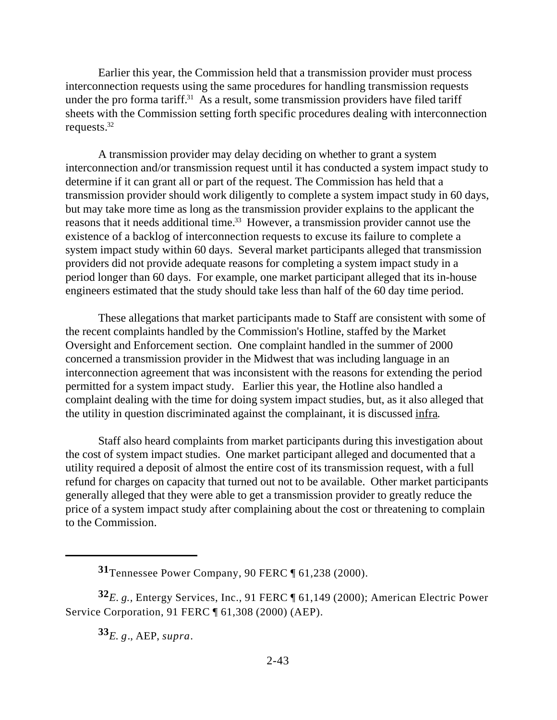Earlier this year, the Commission held that a transmission provider must process interconnection requests using the same procedures for handling transmission requests under the pro forma tariff.<sup>31</sup> As a result, some transmission providers have filed tariff sheets with the Commission setting forth specific procedures dealing with interconnection requests.<sup>32</sup>

A transmission provider may delay deciding on whether to grant a system interconnection and/or transmission request until it has conducted a system impact study to determine if it can grant all or part of the request. The Commission has held that a transmission provider should work diligently to complete a system impact study in 60 days, but may take more time as long as the transmission provider explains to the applicant the reasons that it needs additional time.<sup>33</sup> However, a transmission provider cannot use the existence of a backlog of interconnection requests to excuse its failure to complete a system impact study within 60 days. Several market participants alleged that transmission providers did not provide adequate reasons for completing a system impact study in a period longer than 60 days. For example, one market participant alleged that its in-house engineers estimated that the study should take less than half of the 60 day time period.

These allegations that market participants made to Staff are consistent with some of the recent complaints handled by the Commission's Hotline, staffed by the Market Oversight and Enforcement section. One complaint handled in the summer of 2000 concerned a transmission provider in the Midwest that was including language in an interconnection agreement that was inconsistent with the reasons for extending the period permitted for a system impact study. Earlier this year, the Hotline also handled a complaint dealing with the time for doing system impact studies, but, as it also alleged that the utility in question discriminated against the complainant, it is discussed infra.

Staff also heard complaints from market participants during this investigation about the cost of system impact studies. One market participant alleged and documented that a utility required a deposit of almost the entire cost of its transmission request, with a full refund for charges on capacity that turned out not to be available. Other market participants generally alleged that they were able to get a transmission provider to greatly reduce the price of a system impact study after complaining about the cost or threatening to complain to the Commission.

**<sup>32</sup>***E*. *g.,* Entergy Services, Inc., 91 FERC ¶ 61,149 (2000); American Electric Power Service Corporation, 91 FERC ¶ 61,308 (2000) (AEP).

**<sup>33</sup>***E. g*., AEP, *supra*.

**<sup>31</sup>**Tennessee Power Company, 90 FERC ¶ 61,238 (2000).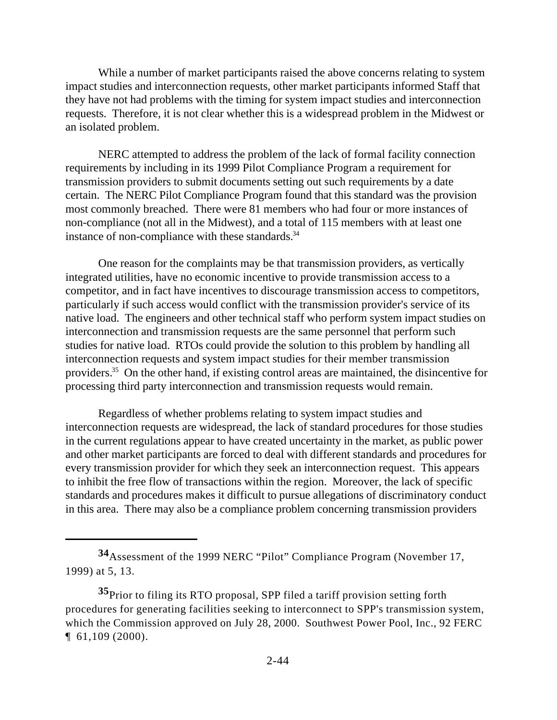While a number of market participants raised the above concerns relating to system impact studies and interconnection requests, other market participants informed Staff that they have not had problems with the timing for system impact studies and interconnection requests. Therefore, it is not clear whether this is a widespread problem in the Midwest or an isolated problem.

NERC attempted to address the problem of the lack of formal facility connection requirements by including in its 1999 Pilot Compliance Program a requirement for transmission providers to submit documents setting out such requirements by a date certain. The NERC Pilot Compliance Program found that this standard was the provision most commonly breached. There were 81 members who had four or more instances of non-compliance (not all in the Midwest), and a total of 115 members with at least one instance of non-compliance with these standards.<sup>34</sup>

One reason for the complaints may be that transmission providers, as vertically integrated utilities, have no economic incentive to provide transmission access to a competitor, and in fact have incentives to discourage transmission access to competitors, particularly if such access would conflict with the transmission provider's service of its native load. The engineers and other technical staff who perform system impact studies on interconnection and transmission requests are the same personnel that perform such studies for native load. RTOs could provide the solution to this problem by handling all interconnection requests and system impact studies for their member transmission providers.<sup>35</sup> On the other hand, if existing control areas are maintained, the disincentive for processing third party interconnection and transmission requests would remain.

Regardless of whether problems relating to system impact studies and interconnection requests are widespread, the lack of standard procedures for those studies in the current regulations appear to have created uncertainty in the market, as public power and other market participants are forced to deal with different standards and procedures for every transmission provider for which they seek an interconnection request. This appears to inhibit the free flow of transactions within the region. Moreover, the lack of specific standards and procedures makes it difficult to pursue allegations of discriminatory conduct in this area. There may also be a compliance problem concerning transmission providers

**<sup>34</sup>**Assessment of the 1999 NERC "Pilot" Compliance Program (November 17, 1999) at 5, 13.

**<sup>35</sup>**Prior to filing its RTO proposal, SPP filed a tariff provision setting forth procedures for generating facilities seeking to interconnect to SPP's transmission system, which the Commission approved on July 28, 2000. Southwest Power Pool, Inc., 92 FERC ¶ 61,109 (2000).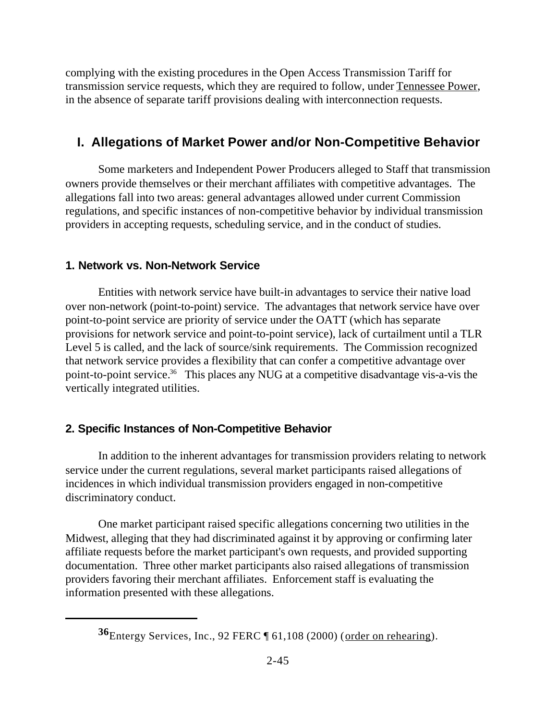complying with the existing procedures in the Open Access Transmission Tariff for transmission service requests, which they are required to follow, under Tennessee Power, in the absence of separate tariff provisions dealing with interconnection requests.

# **I. Allegations of Market Power and/or Non-Competitive Behavior**

Some marketers and Independent Power Producers alleged to Staff that transmission owners provide themselves or their merchant affiliates with competitive advantages. The allegations fall into two areas: general advantages allowed under current Commission regulations, and specific instances of non-competitive behavior by individual transmission providers in accepting requests, scheduling service, and in the conduct of studies.

#### **1. Network vs. Non-Network Service**

Entities with network service have built-in advantages to service their native load over non-network (point-to-point) service. The advantages that network service have over point-to-point service are priority of service under the OATT (which has separate provisions for network service and point-to-point service), lack of curtailment until a TLR Level 5 is called, and the lack of source/sink requirements. The Commission recognized that network service provides a flexibility that can confer a competitive advantage over point-to-point service.<sup>36</sup> This places any NUG at a competitive disadvantage vis-a-vis the vertically integrated utilities.

## **2. Specific Instances of Non-Competitive Behavior**

In addition to the inherent advantages for transmission providers relating to network service under the current regulations, several market participants raised allegations of incidences in which individual transmission providers engaged in non-competitive discriminatory conduct.

One market participant raised specific allegations concerning two utilities in the Midwest, alleging that they had discriminated against it by approving or confirming later affiliate requests before the market participant's own requests, and provided supporting documentation. Three other market participants also raised allegations of transmission providers favoring their merchant affiliates. Enforcement staff is evaluating the information presented with these allegations.

**<sup>36</sup>**Entergy Services, Inc., 92 FERC ¶ 61,108 (2000) (order on rehearing).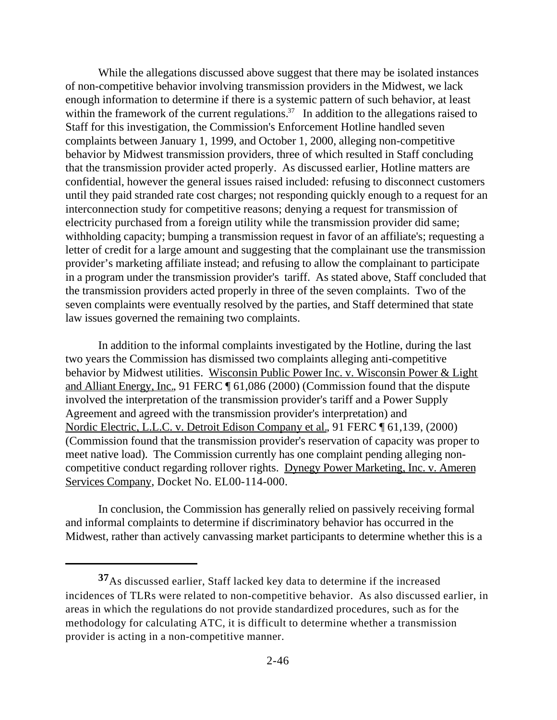While the allegations discussed above suggest that there may be isolated instances of non-competitive behavior involving transmission providers in the Midwest, we lack enough information to determine if there is a systemic pattern of such behavior, at least within the framework of the current regulations.<sup>37</sup> In addition to the allegations raised to Staff for this investigation, the Commission's Enforcement Hotline handled seven complaints between January 1, 1999, and October 1, 2000, alleging non-competitive behavior by Midwest transmission providers, three of which resulted in Staff concluding that the transmission provider acted properly. As discussed earlier, Hotline matters are confidential, however the general issues raised included: refusing to disconnect customers until they paid stranded rate cost charges; not responding quickly enough to a request for an interconnection study for competitive reasons; denying a request for transmission of electricity purchased from a foreign utility while the transmission provider did same; withholding capacity; bumping a transmission request in favor of an affiliate's; requesting a letter of credit for a large amount and suggesting that the complainant use the transmission provider's marketing affiliate instead; and refusing to allow the complainant to participate in a program under the transmission provider's tariff. As stated above, Staff concluded that the transmission providers acted properly in three of the seven complaints. Two of the seven complaints were eventually resolved by the parties, and Staff determined that state law issues governed the remaining two complaints.

In addition to the informal complaints investigated by the Hotline, during the last two years the Commission has dismissed two complaints alleging anti-competitive behavior by Midwest utilities. Wisconsin Public Power Inc. v. Wisconsin Power & Light and Alliant Energy, Inc., 91 FERC ¶ 61,086 (2000) (Commission found that the dispute involved the interpretation of the transmission provider's tariff and a Power Supply Agreement and agreed with the transmission provider's interpretation) and Nordic Electric, L.L.C. v. Detroit Edison Company et al., 91 FERC ¶ 61,139, (2000) (Commission found that the transmission provider's reservation of capacity was proper to meet native load). The Commission currently has one complaint pending alleging noncompetitive conduct regarding rollover rights. Dynegy Power Marketing, Inc. v. Ameren Services Company, Docket No. EL00-114-000.

In conclusion, the Commission has generally relied on passively receiving formal and informal complaints to determine if discriminatory behavior has occurred in the Midwest, rather than actively canvassing market participants to determine whether this is a

**<sup>37</sup>**As discussed earlier, Staff lacked key data to determine if the increased incidences of TLRs were related to non-competitive behavior. As also discussed earlier, in areas in which the regulations do not provide standardized procedures, such as for the methodology for calculating ATC, it is difficult to determine whether a transmission provider is acting in a non-competitive manner.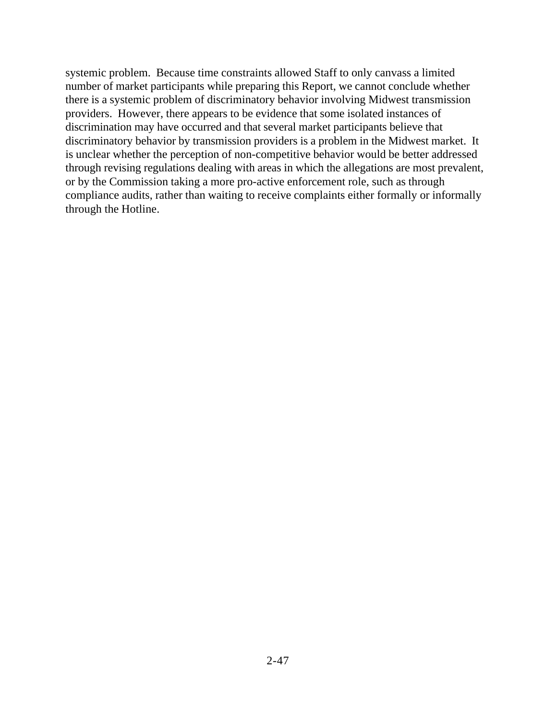systemic problem. Because time constraints allowed Staff to only canvass a limited number of market participants while preparing this Report, we cannot conclude whether there is a systemic problem of discriminatory behavior involving Midwest transmission providers. However, there appears to be evidence that some isolated instances of discrimination may have occurred and that several market participants believe that discriminatory behavior by transmission providers is a problem in the Midwest market. It is unclear whether the perception of non-competitive behavior would be better addressed through revising regulations dealing with areas in which the allegations are most prevalent, or by the Commission taking a more pro-active enforcement role, such as through compliance audits, rather than waiting to receive complaints either formally or informally through the Hotline.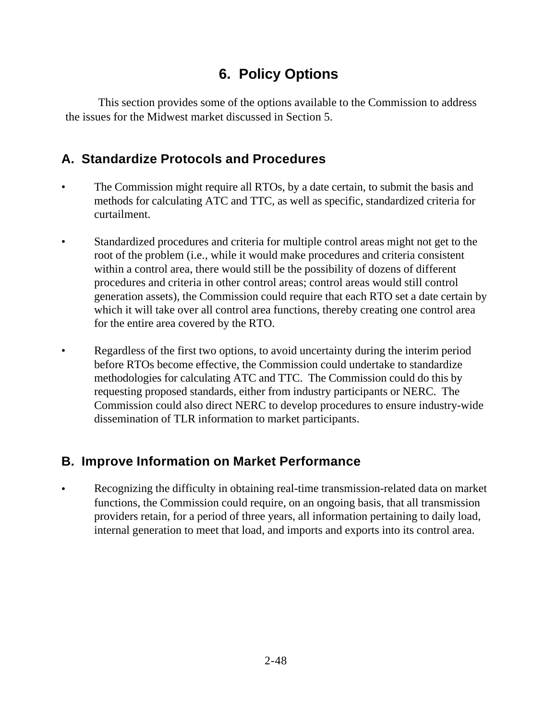# **6. Policy Options**

This section provides some of the options available to the Commission to address the issues for the Midwest market discussed in Section 5.

# **A. Standardize Protocols and Procedures**

- The Commission might require all RTOs, by a date certain, to submit the basis and methods for calculating ATC and TTC, as well as specific, standardized criteria for curtailment.
- Standardized procedures and criteria for multiple control areas might not get to the root of the problem (i.e., while it would make procedures and criteria consistent within a control area, there would still be the possibility of dozens of different procedures and criteria in other control areas; control areas would still control generation assets), the Commission could require that each RTO set a date certain by which it will take over all control area functions, thereby creating one control area for the entire area covered by the RTO.
- Regardless of the first two options, to avoid uncertainty during the interim period before RTOs become effective, the Commission could undertake to standardize methodologies for calculating ATC and TTC. The Commission could do this by requesting proposed standards, either from industry participants or NERC. The Commission could also direct NERC to develop procedures to ensure industry-wide dissemination of TLR information to market participants.

# **B. Improve Information on Market Performance**

• Recognizing the difficulty in obtaining real-time transmission-related data on market functions, the Commission could require, on an ongoing basis, that all transmission providers retain, for a period of three years, all information pertaining to daily load, internal generation to meet that load, and imports and exports into its control area.